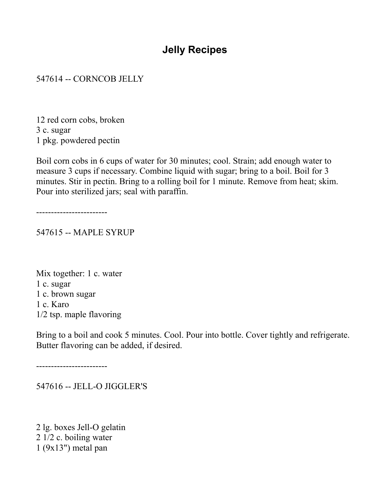# **Jelly Recipes**

#### 547614 -- CORNCOB JELLY

12 red corn cobs, broken 3 c. sugar 1 pkg. powdered pectin

Boil corn cobs in 6 cups of water for 30 minutes; cool. Strain; add enough water to measure 3 cups if necessary. Combine liquid with sugar; bring to a boil. Boil for 3 minutes. Stir in pectin. Bring to a rolling boil for 1 minute. Remove from heat; skim. Pour into sterilized jars; seal with paraffin.

------------------------

547615 -- MAPLE SYRUP

Mix together: 1 c. water 1 c. sugar 1 c. brown sugar 1 c. Karo 1/2 tsp. maple flavoring

Bring to a boil and cook 5 minutes. Cool. Pour into bottle. Cover tightly and refrigerate. Butter flavoring can be added, if desired.

------------------------

547616 -- JELL-O JIGGLER'S

2 lg. boxes Jell-O gelatin 2 1/2 c. boiling water 1 (9x13") metal pan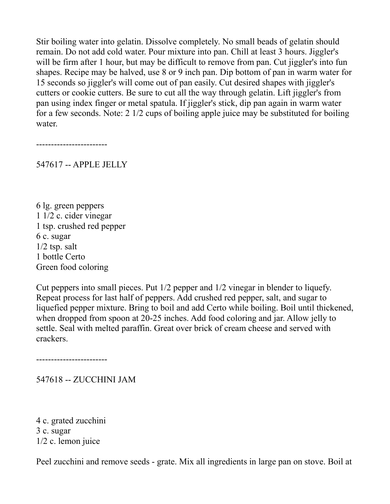Stir boiling water into gelatin. Dissolve completely. No small beads of gelatin should remain. Do not add cold water. Pour mixture into pan. Chill at least 3 hours. Jiggler's will be firm after 1 hour, but may be difficult to remove from pan. Cut jiggler's into fun shapes. Recipe may be halved, use 8 or 9 inch pan. Dip bottom of pan in warm water for 15 seconds so jiggler's will come out of pan easily. Cut desired shapes with jiggler's cutters or cookie cutters. Be sure to cut all the way through gelatin. Lift jiggler's from pan using index finger or metal spatula. If jiggler's stick, dip pan again in warm water for a few seconds. Note: 2 1/2 cups of boiling apple juice may be substituted for boiling water.

------------------------

547617 -- APPLE JELLY

6 lg. green peppers 1 1/2 c. cider vinegar 1 tsp. crushed red pepper 6 c. sugar  $1/2$  tsp. salt 1 bottle Certo Green food coloring

Cut peppers into small pieces. Put 1/2 pepper and 1/2 vinegar in blender to liquefy. Repeat process for last half of peppers. Add crushed red pepper, salt, and sugar to liquefied pepper mixture. Bring to boil and add Certo while boiling. Boil until thickened, when dropped from spoon at 20-25 inches. Add food coloring and jar. Allow jelly to settle. Seal with melted paraffin. Great over brick of cream cheese and served with crackers.

------------------------

547618 -- ZUCCHINI JAM

4 c. grated zucchini 3 c. sugar 1/2 c. lemon juice

Peel zucchini and remove seeds - grate. Mix all ingredients in large pan on stove. Boil at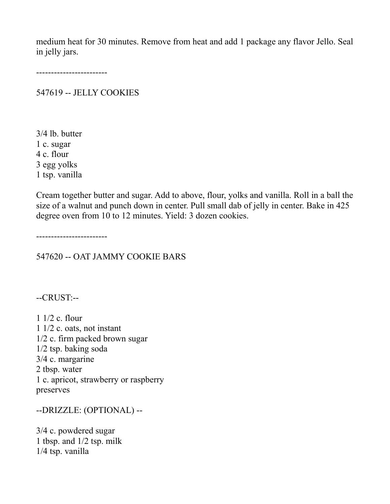medium heat for 30 minutes. Remove from heat and add 1 package any flavor Jello. Seal in jelly jars.

------------------------

547619 -- JELLY COOKIES

3/4 lb. butter 1 c. sugar 4 c. flour 3 egg yolks 1 tsp. vanilla

Cream together butter and sugar. Add to above, flour, yolks and vanilla. Roll in a ball the size of a walnut and punch down in center. Pull small dab of jelly in center. Bake in 425 degree oven from 10 to 12 minutes. Yield: 3 dozen cookies.

------------------------

547620 -- OAT JAMMY COOKIE BARS

--CRUST:--

1 1/2 c. flour 1 1/2 c. oats, not instant 1/2 c. firm packed brown sugar 1/2 tsp. baking soda 3/4 c. margarine 2 tbsp. water 1 c. apricot, strawberry or raspberry preserves

--DRIZZLE: (OPTIONAL) --

3/4 c. powdered sugar 1 tbsp. and 1/2 tsp. milk 1/4 tsp. vanilla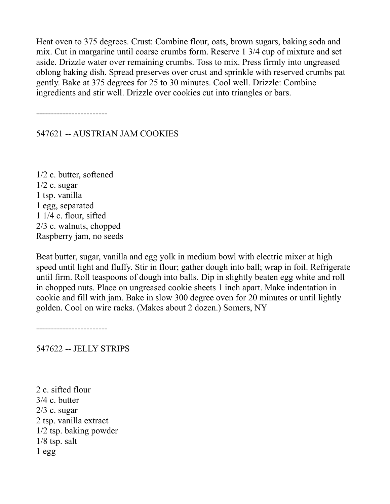Heat oven to 375 degrees. Crust: Combine flour, oats, brown sugars, baking soda and mix. Cut in margarine until coarse crumbs form. Reserve 1 3/4 cup of mixture and set aside. Drizzle water over remaining crumbs. Toss to mix. Press firmly into ungreased oblong baking dish. Spread preserves over crust and sprinkle with reserved crumbs pat gently. Bake at 375 degrees for 25 to 30 minutes. Cool well. Drizzle: Combine ingredients and stir well. Drizzle over cookies cut into triangles or bars.

------------------------

#### 547621 -- AUSTRIAN JAM COOKIES

1/2 c. butter, softened  $1/2$  c. sugar 1 tsp. vanilla 1 egg, separated 1 1/4 c. flour, sifted 2/3 c. walnuts, chopped Raspberry jam, no seeds

Beat butter, sugar, vanilla and egg yolk in medium bowl with electric mixer at high speed until light and fluffy. Stir in flour; gather dough into ball; wrap in foil. Refrigerate until firm. Roll teaspoons of dough into balls. Dip in slightly beaten egg white and roll in chopped nuts. Place on ungreased cookie sheets 1 inch apart. Make indentation in cookie and fill with jam. Bake in slow 300 degree oven for 20 minutes or until lightly golden. Cool on wire racks. (Makes about 2 dozen.) Somers, NY

------------------------

547622 -- JELLY STRIPS

2 c. sifted flour 3/4 c. butter  $2/3$  c. sugar 2 tsp. vanilla extract 1/2 tsp. baking powder 1/8 tsp. salt 1 egg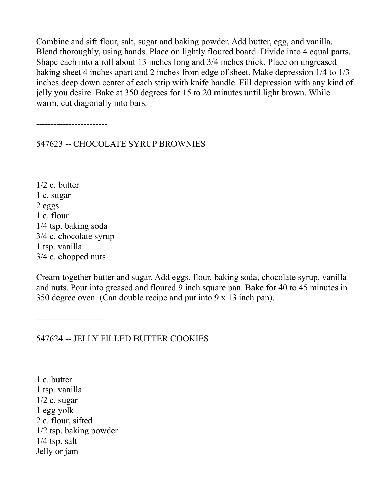Combine and sift flour, salt, sugar and baking powder. Add butter, egg, and vanilla. Blend thoroughly, using hands. Place on lightly floured board. Divide into 4 equal parts. Shape each into a roll about 13 inches long and 3/4 inches thick. Place on ungreased baking sheet 4 inches apart and 2 inches from edge of sheet. Make depression 1/4 to 1/3 inches deep down center of each strip with knife handle. Fill depression with any kind of jelly you desire. Bake at 350 degrees for 15 to 20 minutes until light brown. While warm, cut diagonally into bars.

------------------------

547623 -- CHOCOLATE SYRUP BROWNIES

1/2 c. butter 1 c. sugar 2 eggs 1 c. flour 1/4 tsp. baking soda 3/4 c. chocolate syrup 1 tsp. vanilla 3/4 c. chopped nuts

Cream together butter and sugar. Add eggs, flour, baking soda, chocolate syrup, vanilla and nuts. Pour into greased and floured 9 inch square pan. Bake for 40 to 45 minutes in 350 degree oven. (Can double recipe and put into 9 x 13 inch pan).

------------------------

547624 -- JELLY FILLED BUTTER COOKIES

1 c. butter 1 tsp. vanilla  $1/2$  c. sugar 1 egg yolk 2 c. flour, sifted 1/2 tsp. baking powder  $1/4$  tsp. salt Jelly or jam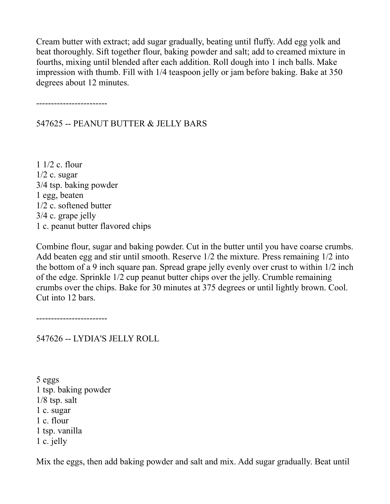Cream butter with extract; add sugar gradually, beating until fluffy. Add egg yolk and beat thoroughly. Sift together flour, baking powder and salt; add to creamed mixture in fourths, mixing until blended after each addition. Roll dough into 1 inch balls. Make impression with thumb. Fill with 1/4 teaspoon jelly or jam before baking. Bake at 350 degrees about 12 minutes.

------------------------

547625 -- PEANUT BUTTER & JELLY BARS

1 1/2 c. flour  $1/2$  c. sugar 3/4 tsp. baking powder 1 egg, beaten 1/2 c. softened butter 3/4 c. grape jelly 1 c. peanut butter flavored chips

Combine flour, sugar and baking powder. Cut in the butter until you have coarse crumbs. Add beaten egg and stir until smooth. Reserve 1/2 the mixture. Press remaining 1/2 into the bottom of a 9 inch square pan. Spread grape jelly evenly over crust to within 1/2 inch of the edge. Sprinkle 1/2 cup peanut butter chips over the jelly. Crumble remaining crumbs over the chips. Bake for 30 minutes at 375 degrees or until lightly brown. Cool. Cut into 12 bars.

------------------------

547626 -- LYDIA'S JELLY ROLL

5 eggs 1 tsp. baking powder 1/8 tsp. salt 1 c. sugar 1 c. flour 1 tsp. vanilla 1 c. jelly

Mix the eggs, then add baking powder and salt and mix. Add sugar gradually. Beat until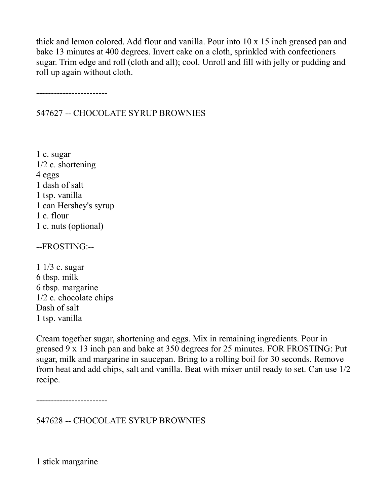thick and lemon colored. Add flour and vanilla. Pour into 10 x 15 inch greased pan and bake 13 minutes at 400 degrees. Invert cake on a cloth, sprinkled with confectioners sugar. Trim edge and roll (cloth and all); cool. Unroll and fill with jelly or pudding and roll up again without cloth.

------------------------

547627 -- CHOCOLATE SYRUP BROWNIES

1 c. sugar 1/2 c. shortening 4 eggs 1 dash of salt 1 tsp. vanilla 1 can Hershey's syrup 1 c. flour 1 c. nuts (optional)

--FROSTING:--

1 1/3 c. sugar 6 tbsp. milk 6 tbsp. margarine 1/2 c. chocolate chips Dash of salt 1 tsp. vanilla

Cream together sugar, shortening and eggs. Mix in remaining ingredients. Pour in greased 9 x 13 inch pan and bake at 350 degrees for 25 minutes. FOR FROSTING: Put sugar, milk and margarine in saucepan. Bring to a rolling boil for 30 seconds. Remove from heat and add chips, salt and vanilla. Beat with mixer until ready to set. Can use 1/2 recipe.

------------------------

547628 -- CHOCOLATE SYRUP BROWNIES

1 stick margarine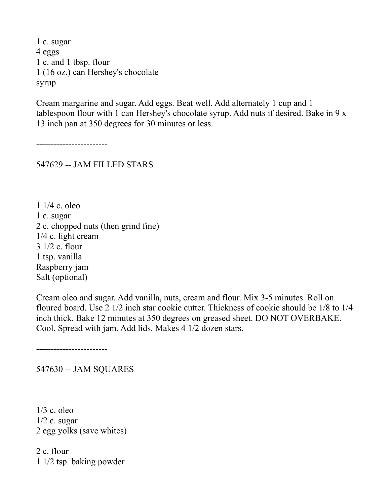1 c. sugar 4 eggs 1 c. and 1 tbsp. flour 1 (16 oz.) can Hershey's chocolate syrup

Cream margarine and sugar. Add eggs. Beat well. Add alternately 1 cup and 1 tablespoon flour with 1 can Hershey's chocolate syrup. Add nuts if desired. Bake in 9 x 13 inch pan at 350 degrees for 30 minutes or less.

------------------------

547629 -- JAM FILLED STARS

1 1/4 c. oleo 1 c. sugar 2 c. chopped nuts (then grind fine) 1/4 c. light cream 3 1/2 c. flour 1 tsp. vanilla Raspberry jam Salt (optional)

Cream oleo and sugar. Add vanilla, nuts, cream and flour. Mix 3-5 minutes. Roll on floured board. Use 2 1/2 inch star cookie cutter. Thickness of cookie should be 1/8 to 1/4 inch thick. Bake 12 minutes at 350 degrees on greased sheet. DO NOT OVERBAKE. Cool. Spread with jam. Add lids. Makes 4 1/2 dozen stars.

------------------------

547630 -- JAM SQUARES

1/3 c. oleo  $1/2$  c. sugar 2 egg yolks (save whites)

2 c. flour 1 1/2 tsp. baking powder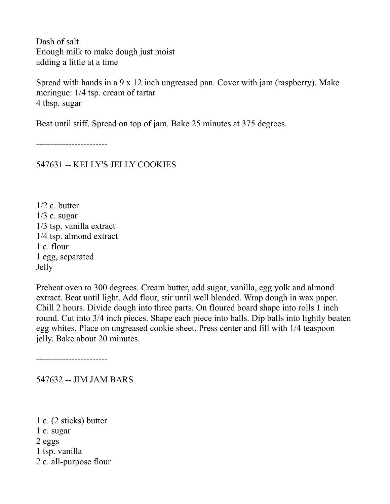Dash of salt Enough milk to make dough just moist adding a little at a time

Spread with hands in a 9 x 12 inch ungreased pan. Cover with jam (raspberry). Make meringue: 1/4 tsp. cream of tartar 4 tbsp. sugar

Beat until stiff. Spread on top of jam. Bake 25 minutes at 375 degrees.

------------------------

547631 -- KELLY'S JELLY COOKIES

1/2 c. butter  $1/3$  c. sugar 1/3 tsp. vanilla extract 1/4 tsp. almond extract 1 c. flour 1 egg, separated Jelly

Preheat oven to 300 degrees. Cream butter, add sugar, vanilla, egg yolk and almond extract. Beat until light. Add flour, stir until well blended. Wrap dough in wax paper. Chill 2 hours. Divide dough into three parts. On floured board shape into rolls 1 inch round. Cut into 3/4 inch pieces. Shape each piece into balls. Dip balls into lightly beaten egg whites. Place on ungreased cookie sheet. Press center and fill with 1/4 teaspoon jelly. Bake about 20 minutes.

------------------------

547632 -- JIM JAM BARS

1 c. (2 sticks) butter 1 c. sugar 2 eggs 1 tsp. vanilla 2 c. all-purpose flour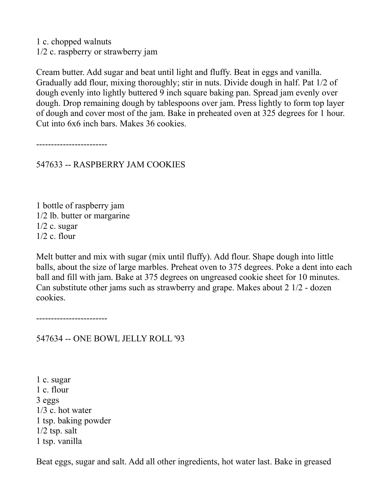1 c. chopped walnuts 1/2 c. raspberry or strawberry jam

Cream butter. Add sugar and beat until light and fluffy. Beat in eggs and vanilla. Gradually add flour, mixing thoroughly; stir in nuts. Divide dough in half. Pat 1/2 of dough evenly into lightly buttered 9 inch square baking pan. Spread jam evenly over dough. Drop remaining dough by tablespoons over jam. Press lightly to form top layer of dough and cover most of the jam. Bake in preheated oven at 325 degrees for 1 hour. Cut into 6x6 inch bars. Makes 36 cookies.

------------------------

547633 -- RASPBERRY JAM COOKIES

1 bottle of raspberry jam 1/2 lb. butter or margarine  $1/2$  c. sugar  $1/2$  c. flour

Melt butter and mix with sugar (mix until fluffy). Add flour. Shape dough into little balls, about the size of large marbles. Preheat oven to 375 degrees. Poke a dent into each ball and fill with jam. Bake at 375 degrees on ungreased cookie sheet for 10 minutes. Can substitute other jams such as strawberry and grape. Makes about 2 1/2 - dozen cookies.

------------------------

547634 -- ONE BOWL JELLY ROLL '93

1 c. sugar 1 c. flour 3 eggs 1/3 c. hot water 1 tsp. baking powder  $1/2$  tsp. salt 1 tsp. vanilla

Beat eggs, sugar and salt. Add all other ingredients, hot water last. Bake in greased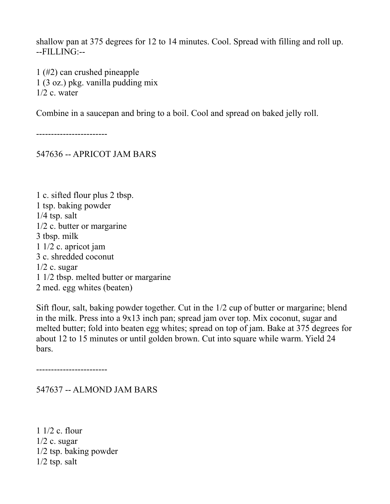shallow pan at 375 degrees for 12 to 14 minutes. Cool. Spread with filling and roll up. --FILLING:--

1 (#2) can crushed pineapple 1 (3 oz.) pkg. vanilla pudding mix  $1/2$  c. water

Combine in a saucepan and bring to a boil. Cool and spread on baked jelly roll.

------------------------

547636 -- APRICOT JAM BARS

1 c. sifted flour plus 2 tbsp. 1 tsp. baking powder 1/4 tsp. salt 1/2 c. butter or margarine 3 tbsp. milk 1 1/2 c. apricot jam 3 c. shredded coconut  $1/2$  c. sugar 1 1/2 tbsp. melted butter or margarine 2 med. egg whites (beaten)

Sift flour, salt, baking powder together. Cut in the 1/2 cup of butter or margarine; blend in the milk. Press into a 9x13 inch pan; spread jam over top. Mix coconut, sugar and melted butter; fold into beaten egg whites; spread on top of jam. Bake at 375 degrees for about 12 to 15 minutes or until golden brown. Cut into square while warm. Yield 24 bars.

------------------------

547637 -- ALMOND JAM BARS

1 1/2 c. flour  $1/2$  c. sugar 1/2 tsp. baking powder  $1/2$  tsp. salt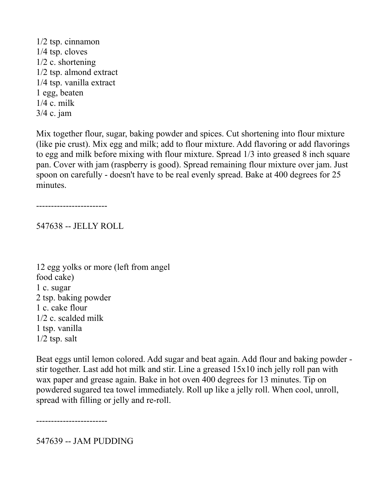1/2 tsp. cinnamon 1/4 tsp. cloves 1/2 c. shortening 1/2 tsp. almond extract 1/4 tsp. vanilla extract 1 egg, beaten 1/4 c. milk 3/4 c. jam

Mix together flour, sugar, baking powder and spices. Cut shortening into flour mixture (like pie crust). Mix egg and milk; add to flour mixture. Add flavoring or add flavorings to egg and milk before mixing with flour mixture. Spread 1/3 into greased 8 inch square pan. Cover with jam (raspberry is good). Spread remaining flour mixture over jam. Just spoon on carefully - doesn't have to be real evenly spread. Bake at 400 degrees for 25 minutes.

------------------------

547638 -- JELLY ROLL

12 egg yolks or more (left from angel food cake) 1 c. sugar 2 tsp. baking powder 1 c. cake flour 1/2 c. scalded milk 1 tsp. vanilla  $1/2$  tsp. salt

Beat eggs until lemon colored. Add sugar and beat again. Add flour and baking powder stir together. Last add hot milk and stir. Line a greased 15x10 inch jelly roll pan with wax paper and grease again. Bake in hot oven 400 degrees for 13 minutes. Tip on powdered sugared tea towel immediately. Roll up like a jelly roll. When cool, unroll, spread with filling or jelly and re-roll.

------------------------

547639 -- JAM PUDDING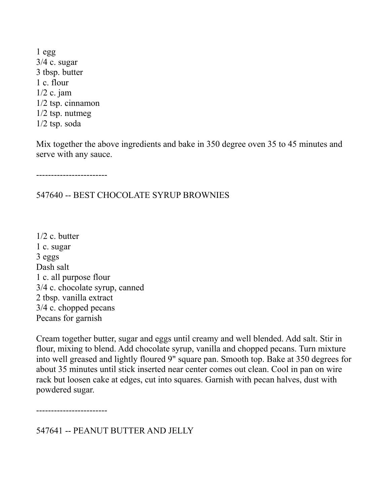1 egg 3/4 c. sugar 3 tbsp. butter 1 c. flour 1/2 c. jam 1/2 tsp. cinnamon 1/2 tsp. nutmeg 1/2 tsp. soda

Mix together the above ingredients and bake in 350 degree oven 35 to 45 minutes and serve with any sauce.

------------------------

547640 -- BEST CHOCOLATE SYRUP BROWNIES

1/2 c. butter 1 c. sugar 3 eggs Dash salt 1 c. all purpose flour 3/4 c. chocolate syrup, canned 2 tbsp. vanilla extract 3/4 c. chopped pecans Pecans for garnish

Cream together butter, sugar and eggs until creamy and well blended. Add salt. Stir in flour, mixing to blend. Add chocolate syrup, vanilla and chopped pecans. Turn mixture into well greased and lightly floured 9" square pan. Smooth top. Bake at 350 degrees for about 35 minutes until stick inserted near center comes out clean. Cool in pan on wire rack but loosen cake at edges, cut into squares. Garnish with pecan halves, dust with powdered sugar.

------------------------

547641 -- PEANUT BUTTER AND JELLY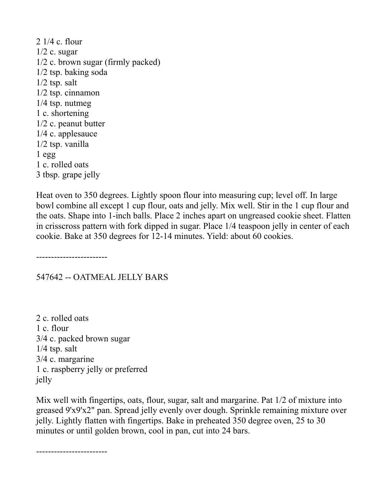2 1/4 c. flour  $1/2$  c. sugar 1/2 c. brown sugar (firmly packed) 1/2 tsp. baking soda 1/2 tsp. salt 1/2 tsp. cinnamon 1/4 tsp. nutmeg 1 c. shortening 1/2 c. peanut butter 1/4 c. applesauce 1/2 tsp. vanilla  $1$  egg 1 c. rolled oats 3 tbsp. grape jelly

Heat oven to 350 degrees. Lightly spoon flour into measuring cup; level off. In large bowl combine all except 1 cup flour, oats and jelly. Mix well. Stir in the 1 cup flour and the oats. Shape into 1-inch balls. Place 2 inches apart on ungreased cookie sheet. Flatten in crisscross pattern with fork dipped in sugar. Place 1/4 teaspoon jelly in center of each cookie. Bake at 350 degrees for 12-14 minutes. Yield: about 60 cookies.

------------------------

### 547642 -- OATMEAL JELLY BARS

2 c. rolled oats 1 c. flour 3/4 c. packed brown sugar  $1/4$  tsp. salt 3/4 c. margarine 1 c. raspberry jelly or preferred jelly

Mix well with fingertips, oats, flour, sugar, salt and margarine. Pat 1/2 of mixture into greased 9'x9'x2" pan. Spread jelly evenly over dough. Sprinkle remaining mixture over jelly. Lightly flatten with fingertips. Bake in preheated 350 degree oven, 25 to 30 minutes or until golden brown, cool in pan, cut into 24 bars.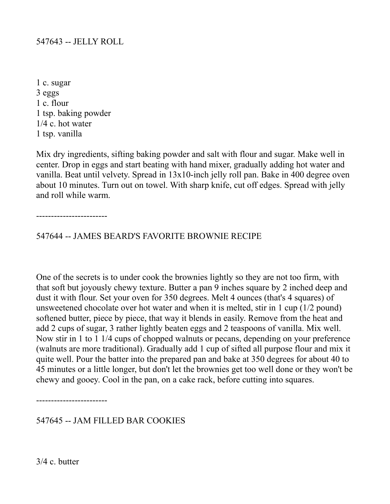#### 547643 -- JELLY ROLL

1 c. sugar 3 eggs 1 c. flour 1 tsp. baking powder 1/4 c. hot water 1 tsp. vanilla

Mix dry ingredients, sifting baking powder and salt with flour and sugar. Make well in center. Drop in eggs and start beating with hand mixer, gradually adding hot water and vanilla. Beat until velvety. Spread in 13x10-inch jelly roll pan. Bake in 400 degree oven about 10 minutes. Turn out on towel. With sharp knife, cut off edges. Spread with jelly and roll while warm.

------------------------

547644 -- JAMES BEARD'S FAVORITE BROWNIE RECIPE

One of the secrets is to under cook the brownies lightly so they are not too firm, with that soft but joyously chewy texture. Butter a pan 9 inches square by 2 inched deep and dust it with flour. Set your oven for 350 degrees. Melt 4 ounces (that's 4 squares) of unsweetened chocolate over hot water and when it is melted, stir in 1 cup (1/2 pound) softened butter, piece by piece, that way it blends in easily. Remove from the heat and add 2 cups of sugar, 3 rather lightly beaten eggs and 2 teaspoons of vanilla. Mix well. Now stir in 1 to 1 1/4 cups of chopped walnuts or pecans, depending on your preference (walnuts are more traditional). Gradually add 1 cup of sifted all purpose flour and mix it quite well. Pour the batter into the prepared pan and bake at 350 degrees for about 40 to 45 minutes or a little longer, but don't let the brownies get too well done or they won't be chewy and gooey. Cool in the pan, on a cake rack, before cutting into squares.

------------------------

547645 -- JAM FILLED BAR COOKIES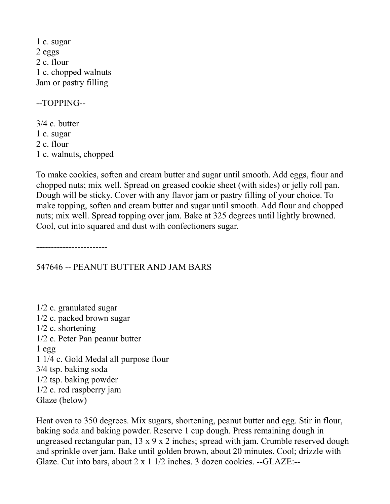1 c. sugar 2 eggs 2 c. flour 1 c. chopped walnuts Jam or pastry filling

--TOPPING--

3/4 c. butter 1 c. sugar 2 c. flour 1 c. walnuts, chopped

To make cookies, soften and cream butter and sugar until smooth. Add eggs, flour and chopped nuts; mix well. Spread on greased cookie sheet (with sides) or jelly roll pan. Dough will be sticky. Cover with any flavor jam or pastry filling of your choice. To make topping, soften and cream butter and sugar until smooth. Add flour and chopped nuts; mix well. Spread topping over jam. Bake at 325 degrees until lightly browned. Cool, cut into squared and dust with confectioners sugar.

------------------------

547646 -- PEANUT BUTTER AND JAM BARS

1/2 c. granulated sugar 1/2 c. packed brown sugar 1/2 c. shortening 1/2 c. Peter Pan peanut butter 1 egg 1 1/4 c. Gold Medal all purpose flour 3/4 tsp. baking soda 1/2 tsp. baking powder 1/2 c. red raspberry jam Glaze (below)

Heat oven to 350 degrees. Mix sugars, shortening, peanut butter and egg. Stir in flour, baking soda and baking powder. Reserve 1 cup dough. Press remaining dough in ungreased rectangular pan,  $13 \times 9 \times 2$  inches; spread with jam. Crumble reserved dough and sprinkle over jam. Bake until golden brown, about 20 minutes. Cool; drizzle with Glaze. Cut into bars, about 2 x 1 1/2 inches. 3 dozen cookies. --GLAZE:--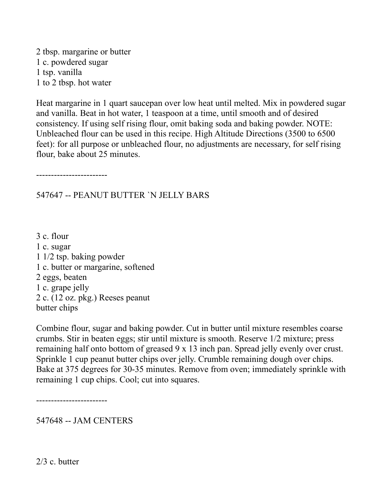2 tbsp. margarine or butter 1 c. powdered sugar 1 tsp. vanilla 1 to 2 tbsp. hot water

Heat margarine in 1 quart saucepan over low heat until melted. Mix in powdered sugar and vanilla. Beat in hot water, 1 teaspoon at a time, until smooth and of desired consistency. If using self rising flour, omit baking soda and baking powder. NOTE: Unbleached flour can be used in this recipe. High Altitude Directions (3500 to 6500 feet): for all purpose or unbleached flour, no adjustments are necessary, for self rising flour, bake about 25 minutes.

------------------------

### 547647 -- PEANUT BUTTER `N JELLY BARS

3 c. flour 1 c. sugar 1 1/2 tsp. baking powder 1 c. butter or margarine, softened 2 eggs, beaten 1 c. grape jelly 2 c. (12 oz. pkg.) Reeses peanut butter chips

Combine flour, sugar and baking powder. Cut in butter until mixture resembles coarse crumbs. Stir in beaten eggs; stir until mixture is smooth. Reserve 1/2 mixture; press remaining half onto bottom of greased 9 x 13 inch pan. Spread jelly evenly over crust. Sprinkle 1 cup peanut butter chips over jelly. Crumble remaining dough over chips. Bake at 375 degrees for 30-35 minutes. Remove from oven; immediately sprinkle with remaining 1 cup chips. Cool; cut into squares.

------------------------

547648 -- JAM CENTERS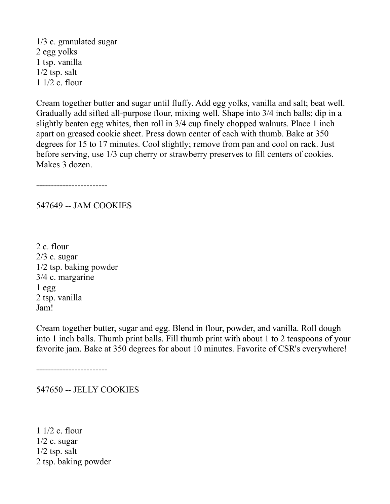1/3 c. granulated sugar 2 egg yolks 1 tsp. vanilla 1/2 tsp. salt 1 1/2 c. flour

Cream together butter and sugar until fluffy. Add egg yolks, vanilla and salt; beat well. Gradually add sifted all-purpose flour, mixing well. Shape into 3/4 inch balls; dip in a slightly beaten egg whites, then roll in 3/4 cup finely chopped walnuts. Place 1 inch apart on greased cookie sheet. Press down center of each with thumb. Bake at 350 degrees for 15 to 17 minutes. Cool slightly; remove from pan and cool on rack. Just before serving, use 1/3 cup cherry or strawberry preserves to fill centers of cookies. Makes 3 dozen.

------------------------

547649 -- JAM COOKIES

2 c. flour  $2/3$  c. sugar 1/2 tsp. baking powder 3/4 c. margarine  $1$  egg 2 tsp. vanilla Jam!

Cream together butter, sugar and egg. Blend in flour, powder, and vanilla. Roll dough into 1 inch balls. Thumb print balls. Fill thumb print with about 1 to 2 teaspoons of your favorite jam. Bake at 350 degrees for about 10 minutes. Favorite of CSR's everywhere!

------------------------

547650 -- JELLY COOKIES

1 1/2 c. flour  $1/2$  c. sugar  $1/2$  tsp. salt 2 tsp. baking powder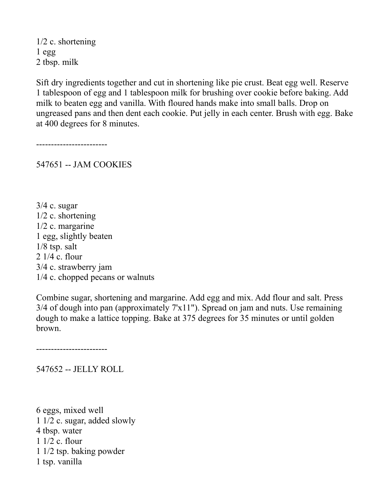1/2 c. shortening 1 egg 2 tbsp. milk

Sift dry ingredients together and cut in shortening like pie crust. Beat egg well. Reserve 1 tablespoon of egg and 1 tablespoon milk for brushing over cookie before baking. Add milk to beaten egg and vanilla. With floured hands make into small balls. Drop on ungreased pans and then dent each cookie. Put jelly in each center. Brush with egg. Bake at 400 degrees for 8 minutes.

------------------------

547651 -- JAM COOKIES

 $3/4$  c. sugar 1/2 c. shortening 1/2 c. margarine 1 egg, slightly beaten 1/8 tsp. salt 2 1/4 c. flour 3/4 c. strawberry jam 1/4 c. chopped pecans or walnuts

Combine sugar, shortening and margarine. Add egg and mix. Add flour and salt. Press 3/4 of dough into pan (approximately 7'x11"). Spread on jam and nuts. Use remaining dough to make a lattice topping. Bake at 375 degrees for 35 minutes or until golden brown.

------------------------

547652 -- JELLY ROLL

6 eggs, mixed well 1 1/2 c. sugar, added slowly 4 tbsp. water 1 1/2 c. flour 1 1/2 tsp. baking powder 1 tsp. vanilla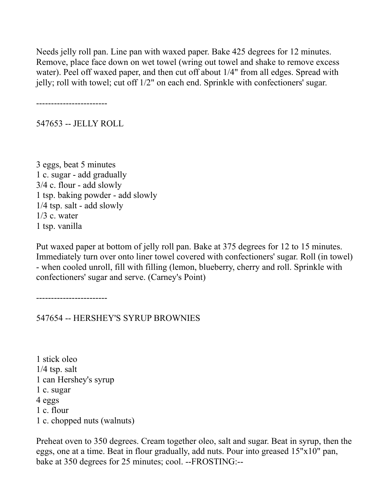Needs jelly roll pan. Line pan with waxed paper. Bake 425 degrees for 12 minutes. Remove, place face down on wet towel (wring out towel and shake to remove excess water). Peel off waxed paper, and then cut off about 1/4" from all edges. Spread with jelly; roll with towel; cut off 1/2" on each end. Sprinkle with confectioners' sugar.

------------------------

547653 -- JELLY ROLL

3 eggs, beat 5 minutes 1 c. sugar - add gradually 3/4 c. flour - add slowly 1 tsp. baking powder - add slowly 1/4 tsp. salt - add slowly  $1/3$  c. water 1 tsp. vanilla

Put waxed paper at bottom of jelly roll pan. Bake at 375 degrees for 12 to 15 minutes. Immediately turn over onto liner towel covered with confectioners' sugar. Roll (in towel) - when cooled unroll, fill with filling (lemon, blueberry, cherry and roll. Sprinkle with confectioners' sugar and serve. (Carney's Point)

------------------------

547654 -- HERSHEY'S SYRUP BROWNIES

1 stick oleo  $1/4$  tsp. salt 1 can Hershey's syrup 1 c. sugar 4 eggs 1 c. flour 1 c. chopped nuts (walnuts)

Preheat oven to 350 degrees. Cream together oleo, salt and sugar. Beat in syrup, then the eggs, one at a time. Beat in flour gradually, add nuts. Pour into greased 15"x10" pan, bake at 350 degrees for 25 minutes; cool. --FROSTING:--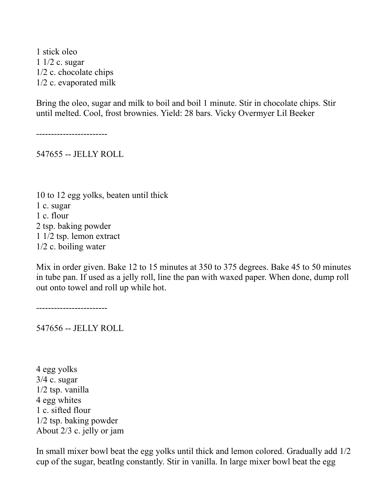1 stick oleo 1 1/2 c. sugar 1/2 c. chocolate chips 1/2 c. evaporated milk

Bring the oleo, sugar and milk to boil and boil 1 minute. Stir in chocolate chips. Stir until melted. Cool, frost brownies. Yield: 28 bars. Vicky Overmyer Lil Beeker

------------------------

547655 -- JELLY ROLL

10 to 12 egg yolks, beaten until thick 1 c. sugar 1 c. flour 2 tsp. baking powder 1 1/2 tsp. lemon extract 1/2 c. boiling water

Mix in order given. Bake 12 to 15 minutes at 350 to 375 degrees. Bake 45 to 50 minutes in tube pan. If used as a jelly roll, line the pan with waxed paper. When done, dump roll out onto towel and roll up while hot.

------------------------

547656 -- JELLY ROLL

4 egg yolks 3/4 c. sugar 1/2 tsp. vanilla 4 egg whites 1 c. sifted flour 1/2 tsp. baking powder About 2/3 c. jelly or jam

In small mixer bowl beat the egg yolks until thick and lemon colored. Gradually add 1/2 cup of the sugar, beatIng constantly. Stir in vanilla. In large mixer bowl beat the egg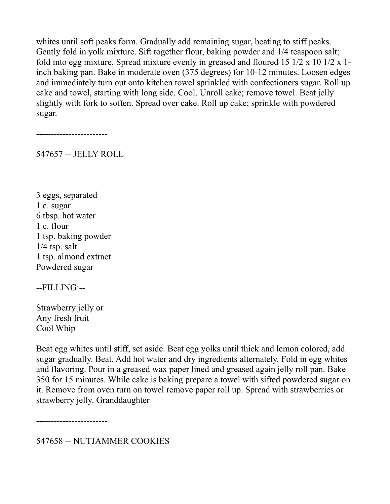whites until soft peaks form. Gradually add remaining sugar, beating to stiff peaks. Gently fold in yolk mixture. Sift together flour, baking powder and 1/4 teaspoon salt; fold into egg mixture. Spread mixture evenly in greased and floured 15 1/2 x 10 1/2 x 1 inch baking pan. Bake in moderate oven (375 degrees) for 10-12 minutes. Loosen edges and immediately turn out onto kitchen towel sprinkled with confectioners sugar. Roll up cake and towel, starting with long side. Cool. Unroll cake; remove towel. Beat jelly slightly with fork to soften. Spread over cake. Roll up cake; sprinkle with powdered sugar.

------------------------

547657 -- JELLY ROLL

3 eggs, separated 1 c. sugar 6 tbsp. hot water 1 c. flour 1 tsp. baking powder 1/4 tsp. salt 1 tsp. almond extract Powdered sugar

--FILLING:--

Strawberry jelly or Any fresh fruit Cool Whip

Beat egg whites until stiff, set aside. Beat egg yolks until thick and lemon colored, add sugar gradually. Beat. Add hot water and dry ingredients alternately. Fold in egg whites and flavoring. Pour in a greased wax paper lined and greased again jelly roll pan. Bake 350 for 15 minutes. While cake is baking prepare a towel with sifted powdered sugar on it. Remove from oven turn on towel remove paper roll up. Spread with strawberries or strawberry jelly. Granddaughter

------------------------

547658 -- NUTJAMMER COOKIES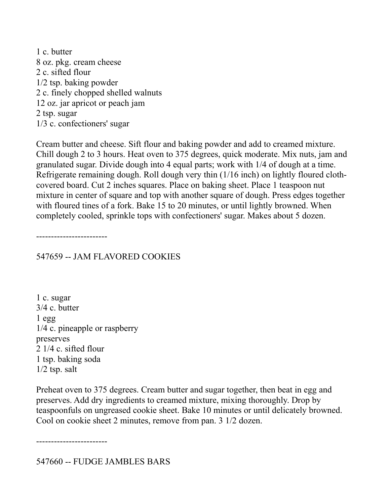1 c. butter 8 oz. pkg. cream cheese 2 c. sifted flour 1/2 tsp. baking powder 2 c. finely chopped shelled walnuts 12 oz. jar apricot or peach jam 2 tsp. sugar 1/3 c. confectioners' sugar

Cream butter and cheese. Sift flour and baking powder and add to creamed mixture. Chill dough 2 to 3 hours. Heat oven to 375 degrees, quick moderate. Mix nuts, jam and granulated sugar. Divide dough into 4 equal parts; work with 1/4 of dough at a time. Refrigerate remaining dough. Roll dough very thin (1/16 inch) on lightly floured clothcovered board. Cut 2 inches squares. Place on baking sheet. Place 1 teaspoon nut mixture in center of square and top with another square of dough. Press edges together with floured tines of a fork. Bake 15 to 20 minutes, or until lightly browned. When completely cooled, sprinkle tops with confectioners' sugar. Makes about 5 dozen.

------------------------

### 547659 -- JAM FLAVORED COOKIES

1 c. sugar 3/4 c. butter 1 egg 1/4 c. pineapple or raspberry preserves 2 1/4 c. sifted flour 1 tsp. baking soda  $1/2$  tsp. salt

Preheat oven to 375 degrees. Cream butter and sugar together, then beat in egg and preserves. Add dry ingredients to creamed mixture, mixing thoroughly. Drop by teaspoonfuls on ungreased cookie sheet. Bake 10 minutes or until delicately browned. Cool on cookie sheet 2 minutes, remove from pan. 3 1/2 dozen.

------------------------

547660 -- FUDGE JAMBLES BARS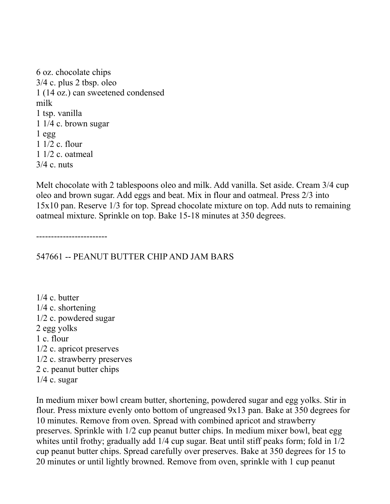6 oz. chocolate chips 3/4 c. plus 2 tbsp. oleo 1 (14 oz.) can sweetened condensed milk 1 tsp. vanilla 1 1/4 c. brown sugar 1 egg 1 1/2 c. flour 1 1/2 c. oatmeal 3/4 c. nuts

Melt chocolate with 2 tablespoons oleo and milk. Add vanilla. Set aside. Cream 3/4 cup oleo and brown sugar. Add eggs and beat. Mix in flour and oatmeal. Press 2/3 into 15x10 pan. Reserve 1/3 for top. Spread chocolate mixture on top. Add nuts to remaining oatmeal mixture. Sprinkle on top. Bake 15-18 minutes at 350 degrees.

------------------------

547661 -- PEANUT BUTTER CHIP AND JAM BARS

1/4 c. butter 1/4 c. shortening 1/2 c. powdered sugar 2 egg yolks 1 c. flour 1/2 c. apricot preserves 1/2 c. strawberry preserves 2 c. peanut butter chips  $1/4$  c. sugar

In medium mixer bowl cream butter, shortening, powdered sugar and egg yolks. Stir in flour. Press mixture evenly onto bottom of ungreased 9x13 pan. Bake at 350 degrees for 10 minutes. Remove from oven. Spread with combined apricot and strawberry preserves. Sprinkle with 1/2 cup peanut butter chips. In medium mixer bowl, beat egg whites until frothy; gradually add 1/4 cup sugar. Beat until stiff peaks form; fold in 1/2 cup peanut butter chips. Spread carefully over preserves. Bake at 350 degrees for 15 to 20 minutes or until lightly browned. Remove from oven, sprinkle with 1 cup peanut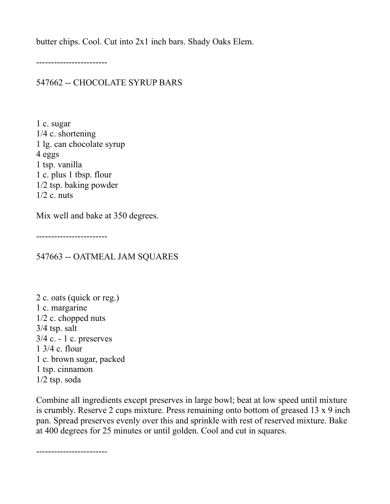butter chips. Cool. Cut into 2x1 inch bars. Shady Oaks Elem.

------------------------

## 547662 -- CHOCOLATE SYRUP BARS

1 c. sugar 1/4 c. shortening 1 lg. can chocolate syrup 4 eggs 1 tsp. vanilla 1 c. plus 1 tbsp. flour 1/2 tsp. baking powder  $1/2$  c. nuts

Mix well and bake at 350 degrees.

------------------------

547663 -- OATMEAL JAM SQUARES

2 c. oats (quick or reg.) 1 c. margarine 1/2 c. chopped nuts 3/4 tsp. salt 3/4 c. - 1 c. preserves 1 3/4 c. flour 1 c. brown sugar, packed 1 tsp. cinnamon 1/2 tsp. soda

Combine all ingredients except preserves in large bowl; beat at low speed until mixture is crumbly. Reserve 2 cups mixture. Press remaining onto bottom of greased 13 x 9 inch pan. Spread preserves evenly over this and sprinkle with rest of reserved mixture. Bake at 400 degrees for 25 minutes or until golden. Cool and cut in squares.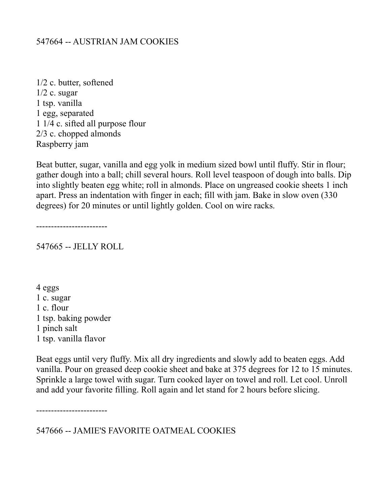### 547664 -- AUSTRIAN JAM COOKIES

1/2 c. butter, softened  $1/2$  c. sugar 1 tsp. vanilla 1 egg, separated 1 1/4 c. sifted all purpose flour 2/3 c. chopped almonds Raspberry jam

Beat butter, sugar, vanilla and egg yolk in medium sized bowl until fluffy. Stir in flour; gather dough into a ball; chill several hours. Roll level teaspoon of dough into balls. Dip into slightly beaten egg white; roll in almonds. Place on ungreased cookie sheets 1 inch apart. Press an indentation with finger in each; fill with jam. Bake in slow oven (330 degrees) for 20 minutes or until lightly golden. Cool on wire racks.

------------------------

547665 -- JELLY ROLL

4 eggs 1 c. sugar 1 c. flour 1 tsp. baking powder 1 pinch salt 1 tsp. vanilla flavor

Beat eggs until very fluffy. Mix all dry ingredients and slowly add to beaten eggs. Add vanilla. Pour on greased deep cookie sheet and bake at 375 degrees for 12 to 15 minutes. Sprinkle a large towel with sugar. Turn cooked layer on towel and roll. Let cool. Unroll and add your favorite filling. Roll again and let stand for 2 hours before slicing.

------------------------

547666 -- JAMIE'S FAVORITE OATMEAL COOKIES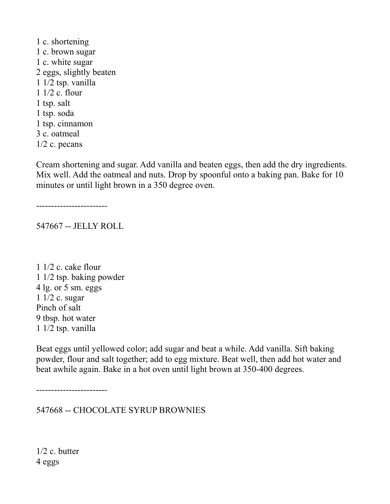1 c. shortening 1 c. brown sugar 1 c. white sugar 2 eggs, slightly beaten 1 1/2 tsp. vanilla 1 1/2 c. flour 1 tsp. salt 1 tsp. soda 1 tsp. cinnamon 3 c. oatmeal 1/2 c. pecans

Cream shortening and sugar. Add vanilla and beaten eggs, then add the dry ingredients. Mix well. Add the oatmeal and nuts. Drop by spoonful onto a baking pan. Bake for 10 minutes or until light brown in a 350 degree oven.

------------------------

547667 -- JELLY ROLL

1 1/2 c. cake flour 1 1/2 tsp. baking powder 4 lg. or 5 sm. eggs 1 1/2 c. sugar Pinch of salt 9 tbsp. hot water 1 1/2 tsp. vanilla

Beat eggs until yellowed color; add sugar and beat a while. Add vanilla. Sift baking powder, flour and salt together; add to egg mixture. Beat well, then add hot water and beat awhile again. Bake in a hot oven until light brown at 350-400 degrees.

------------------------

547668 -- CHOCOLATE SYRUP BROWNIES

1/2 c. butter 4 eggs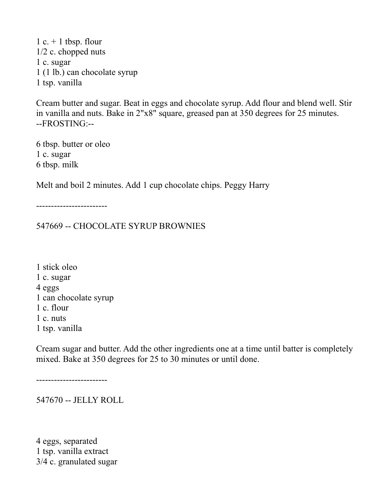1 c.  $+$  1 tbsp. flour 1/2 c. chopped nuts 1 c. sugar 1 (1 lb.) can chocolate syrup 1 tsp. vanilla

Cream butter and sugar. Beat in eggs and chocolate syrup. Add flour and blend well. Stir in vanilla and nuts. Bake in 2"x8" square, greased pan at 350 degrees for 25 minutes. --FROSTING:--

6 tbsp. butter or oleo 1 c. sugar 6 tbsp. milk

Melt and boil 2 minutes. Add 1 cup chocolate chips. Peggy Harry

------------------------

547669 -- CHOCOLATE SYRUP BROWNIES

1 stick oleo 1 c. sugar 4 eggs 1 can chocolate syrup 1 c. flour 1 c. nuts 1 tsp. vanilla

Cream sugar and butter. Add the other ingredients one at a time until batter is completely mixed. Bake at 350 degrees for 25 to 30 minutes or until done.

------------------------

547670 -- JELLY ROLL

4 eggs, separated 1 tsp. vanilla extract 3/4 c. granulated sugar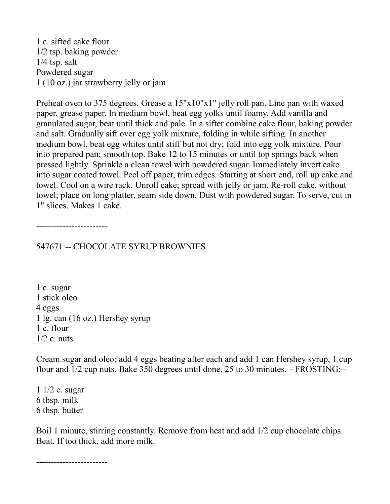1 c. sifted cake flour 1/2 tsp. baking powder 1/4 tsp. salt Powdered sugar 1 (10 oz.) jar strawberry jelly or jam

Preheat oven to 375 degrees. Grease a 15"x10"x1" jelly roll pan. Line pan with waxed paper, grease paper. In medium bowl, beat egg yolks until foamy. Add vanilla and granulated sugar, beat until thick and pale. In a sifter combine cake flour, baking powder and salt. Gradually sift over egg yolk mixture, folding in while sifting. In another medium bowl, beat egg whites until stiff but not dry; fold into egg yolk mixture. Pour into prepared pan; smooth top. Bake 12 to 15 minutes or until top springs back when pressed lightly. Sprinkle a clean towel with powdered sugar. Immediately invert cake into sugar coated towel. Peel off paper, trim edges. Starting at short end, roll up cake and towel. Cool on a wire rack. Unroll cake; spread with jelly or jam. Re-roll cake, without towel; place on long platter, seam side down. Dust with powdered sugar. To serve, cut in 1" slices. Makes 1 cake.

------------------------

547671 -- CHOCOLATE SYRUP BROWNIES

1 c. sugar 1 stick oleo 4 eggs 1 lg. can (16 oz.) Hershey syrup 1 c. flour  $1/2$  c. nuts

Cream sugar and oleo; add 4 eggs beating after each and add 1 can Hershey syrup, 1 cup flour and 1/2 cup nuts. Bake 350 degrees until done, 25 to 30 minutes. --FROSTING:--

1 1/2 c. sugar 6 tbsp. milk 6 tbsp. butter

Boil 1 minute, stirring constantly. Remove from heat and add 1/2 cup chocolate chips. Beat. If too thick, add more milk.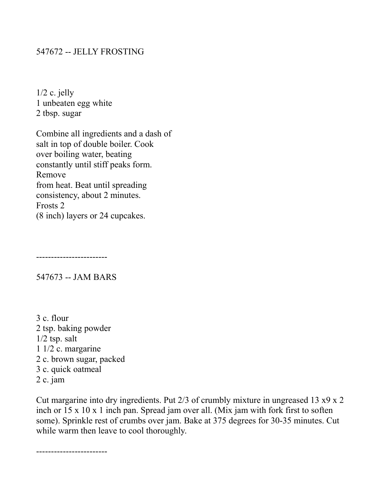#### 547672 -- JELLY FROSTING

 $1/2$  c. jelly 1 unbeaten egg white 2 tbsp. sugar

Combine all ingredients and a dash of salt in top of double boiler. Cook over boiling water, beating constantly until stiff peaks form. Remove from heat. Beat until spreading consistency, about 2 minutes. Frosts 2 (8 inch) layers or 24 cupcakes.

------------------------

547673 -- JAM BARS

3 c. flour 2 tsp. baking powder 1/2 tsp. salt 1 1/2 c. margarine 2 c. brown sugar, packed 3 c. quick oatmeal 2 c. jam

Cut margarine into dry ingredients. Put 2/3 of crumbly mixture in ungreased 13 x9 x 2 inch or 15 x 10 x 1 inch pan. Spread jam over all. (Mix jam with fork first to soften some). Sprinkle rest of crumbs over jam. Bake at 375 degrees for 30-35 minutes. Cut while warm then leave to cool thoroughly.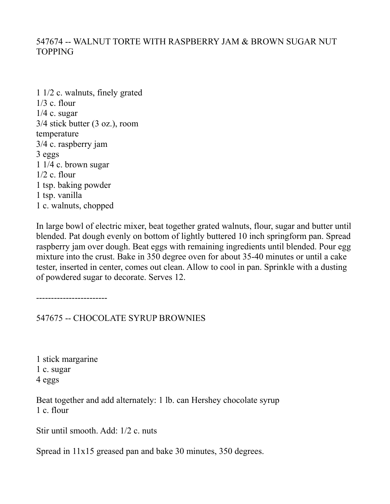## 547674 -- WALNUT TORTE WITH RASPBERRY JAM & BROWN SUGAR NUT TOPPING

1 1/2 c. walnuts, finely grated 1/3 c. flour 1/4 c. sugar 3/4 stick butter (3 oz.), room temperature 3/4 c. raspberry jam 3 eggs 1 1/4 c. brown sugar  $1/2$  c. flour 1 tsp. baking powder 1 tsp. vanilla 1 c. walnuts, chopped

In large bowl of electric mixer, beat together grated walnuts, flour, sugar and butter until blended. Pat dough evenly on bottom of lightly buttered 10 inch springform pan. Spread raspberry jam over dough. Beat eggs with remaining ingredients until blended. Pour egg mixture into the crust. Bake in 350 degree oven for about 35-40 minutes or until a cake tester, inserted in center, comes out clean. Allow to cool in pan. Sprinkle with a dusting of powdered sugar to decorate. Serves 12.

------------------------

547675 -- CHOCOLATE SYRUP BROWNIES

1 stick margarine 1 c. sugar 4 eggs

Beat together and add alternately: 1 lb. can Hershey chocolate syrup 1 c. flour

Stir until smooth. Add: 1/2 c. nuts

Spread in 11x15 greased pan and bake 30 minutes, 350 degrees.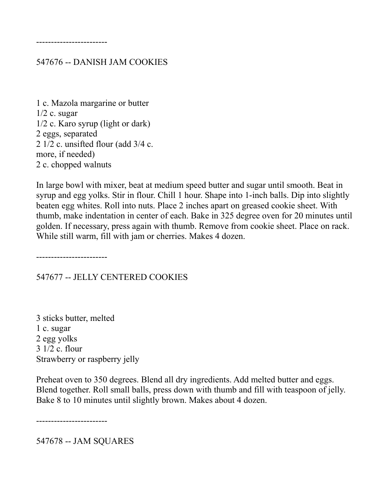------------------------

#### 547676 -- DANISH JAM COOKIES

1 c. Mazola margarine or butter  $1/2$  c. sugar 1/2 c. Karo syrup (light or dark) 2 eggs, separated 2 1/2 c. unsifted flour (add 3/4 c. more, if needed) 2 c. chopped walnuts

In large bowl with mixer, beat at medium speed butter and sugar until smooth. Beat in syrup and egg yolks. Stir in flour. Chill 1 hour. Shape into 1-inch balls. Dip into slightly beaten egg whites. Roll into nuts. Place 2 inches apart on greased cookie sheet. With thumb, make indentation in center of each. Bake in 325 degree oven for 20 minutes until golden. If necessary, press again with thumb. Remove from cookie sheet. Place on rack. While still warm, fill with jam or cherries. Makes 4 dozen.

------------------------

547677 -- JELLY CENTERED COOKIES

3 sticks butter, melted 1 c. sugar 2 egg yolks 3 1/2 c. flour Strawberry or raspberry jelly

Preheat oven to 350 degrees. Blend all dry ingredients. Add melted butter and eggs. Blend together. Roll small balls, press down with thumb and fill with teaspoon of jelly. Bake 8 to 10 minutes until slightly brown. Makes about 4 dozen.

------------------------

547678 -- JAM SQUARES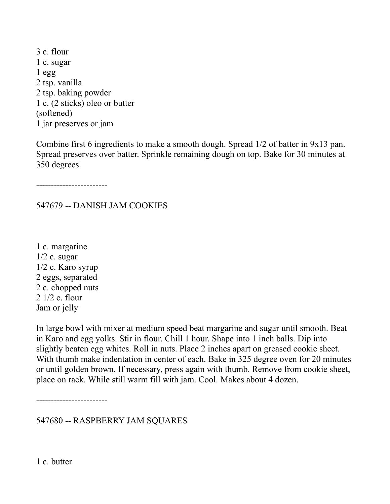3 c. flour 1 c. sugar 1 egg 2 tsp. vanilla 2 tsp. baking powder 1 c. (2 sticks) oleo or butter (softened) 1 jar preserves or jam

Combine first 6 ingredients to make a smooth dough. Spread 1/2 of batter in 9x13 pan. Spread preserves over batter. Sprinkle remaining dough on top. Bake for 30 minutes at 350 degrees.

------------------------

#### 547679 -- DANISH JAM COOKIES

1 c. margarine  $1/2$  c. sugar 1/2 c. Karo syrup 2 eggs, separated 2 c. chopped nuts 2 1/2 c. flour Jam or jelly

In large bowl with mixer at medium speed beat margarine and sugar until smooth. Beat in Karo and egg yolks. Stir in flour. Chill 1 hour. Shape into 1 inch balls. Dip into slightly beaten egg whites. Roll in nuts. Place 2 inches apart on greased cookie sheet. With thumb make indentation in center of each. Bake in 325 degree oven for 20 minutes or until golden brown. If necessary, press again with thumb. Remove from cookie sheet, place on rack. While still warm fill with jam. Cool. Makes about 4 dozen.

------------------------

547680 -- RASPBERRY JAM SQUARES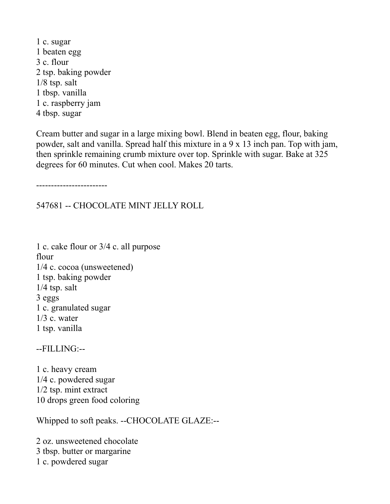1 c. sugar 1 beaten egg 3 c. flour 2 tsp. baking powder 1/8 tsp. salt 1 tbsp. vanilla 1 c. raspberry jam 4 tbsp. sugar

Cream butter and sugar in a large mixing bowl. Blend in beaten egg, flour, baking powder, salt and vanilla. Spread half this mixture in a 9 x 13 inch pan. Top with jam, then sprinkle remaining crumb mixture over top. Sprinkle with sugar. Bake at 325 degrees for 60 minutes. Cut when cool. Makes 20 tarts.

------------------------

#### 547681 -- CHOCOLATE MINT JELLY ROLL

1 c. cake flour or 3/4 c. all purpose flour 1/4 c. cocoa (unsweetened) 1 tsp. baking powder 1/4 tsp. salt 3 eggs 1 c. granulated sugar  $1/3$  c. water 1 tsp. vanilla

#### --FILLING:--

1 c. heavy cream 1/4 c. powdered sugar 1/2 tsp. mint extract 10 drops green food coloring

Whipped to soft peaks. --CHOCOLATE GLAZE:--

2 oz. unsweetened chocolate 3 tbsp. butter or margarine 1 c. powdered sugar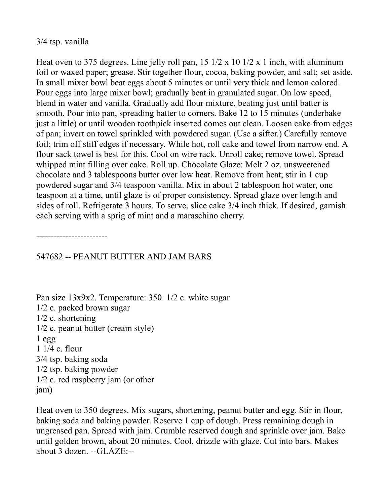### 3/4 tsp. vanilla

Heat oven to 375 degrees. Line jelly roll pan,  $15 \frac{1}{2} \times 10 \frac{1}{2} \times 1$  inch, with aluminum foil or waxed paper; grease. Stir together flour, cocoa, baking powder, and salt; set aside. In small mixer bowl beat eggs about 5 minutes or until very thick and lemon colored. Pour eggs into large mixer bowl; gradually beat in granulated sugar. On low speed, blend in water and vanilla. Gradually add flour mixture, beating just until batter is smooth. Pour into pan, spreading batter to corners. Bake 12 to 15 minutes (underbake just a little) or until wooden toothpick inserted comes out clean. Loosen cake from edges of pan; invert on towel sprinkled with powdered sugar. (Use a sifter.) Carefully remove foil; trim off stiff edges if necessary. While hot, roll cake and towel from narrow end. A flour sack towel is best for this. Cool on wire rack. Unroll cake; remove towel. Spread whipped mint filling over cake. Roll up. Chocolate Glaze: Melt 2 oz. unsweetened chocolate and 3 tablespoons butter over low heat. Remove from heat; stir in 1 cup powdered sugar and 3/4 teaspoon vanilla. Mix in about 2 tablespoon hot water, one teaspoon at a time, until glaze is of proper consistency. Spread glaze over length and sides of roll. Refrigerate 3 hours. To serve, slice cake 3/4 inch thick. If desired, garnish each serving with a sprig of mint and a maraschino cherry.

------------------------

## 547682 -- PEANUT BUTTER AND JAM BARS

Pan size 13x9x2. Temperature: 350. 1/2 c. white sugar 1/2 c. packed brown sugar 1/2 c. shortening 1/2 c. peanut butter (cream style) 1 egg 1 1/4 c. flour 3/4 tsp. baking soda 1/2 tsp. baking powder 1/2 c. red raspberry jam (or other jam)

Heat oven to 350 degrees. Mix sugars, shortening, peanut butter and egg. Stir in flour, baking soda and baking powder. Reserve 1 cup of dough. Press remaining dough in ungreased pan. Spread with jam. Crumble reserved dough and sprinkle over jam. Bake until golden brown, about 20 minutes. Cool, drizzle with glaze. Cut into bars. Makes about 3 dozen. --GLAZE:--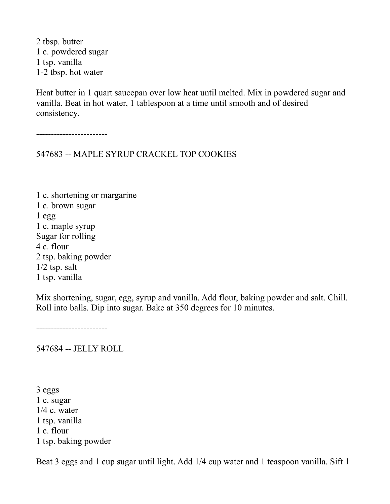2 tbsp. butter 1 c. powdered sugar 1 tsp. vanilla 1-2 tbsp. hot water

Heat butter in 1 quart saucepan over low heat until melted. Mix in powdered sugar and vanilla. Beat in hot water, 1 tablespoon at a time until smooth and of desired consistency.

------------------------

547683 -- MAPLE SYRUP CRACKEL TOP COOKIES

1 c. shortening or margarine 1 c. brown sugar 1 egg 1 c. maple syrup Sugar for rolling 4 c. flour 2 tsp. baking powder 1/2 tsp. salt 1 tsp. vanilla

Mix shortening, sugar, egg, syrup and vanilla. Add flour, baking powder and salt. Chill. Roll into balls. Dip into sugar. Bake at 350 degrees for 10 minutes.

------------------------

547684 -- JELLY ROLL

3 eggs 1 c. sugar  $1/4$  c. water 1 tsp. vanilla 1 c. flour 1 tsp. baking powder

Beat 3 eggs and 1 cup sugar until light. Add 1/4 cup water and 1 teaspoon vanilla. Sift 1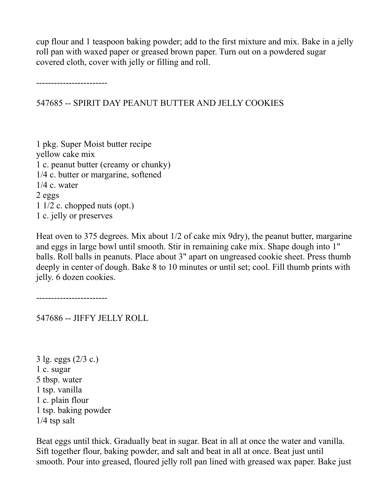cup flour and 1 teaspoon baking powder; add to the first mixture and mix. Bake in a jelly roll pan with waxed paper or greased brown paper. Turn out on a powdered sugar covered cloth, cover with jelly or filling and roll.

------------------------

## 547685 -- SPIRIT DAY PEANUT BUTTER AND JELLY COOKIES

1 pkg. Super Moist butter recipe yellow cake mix 1 c. peanut butter (creamy or chunky) 1/4 c. butter or margarine, softened 1/4 c. water 2 eggs 1 1/2 c. chopped nuts (opt.) 1 c. jelly or preserves

Heat oven to 375 degrees. Mix about 1/2 of cake mix 9dry), the peanut butter, margarine and eggs in large bowl until smooth. Stir in remaining cake mix. Shape dough into 1" balls. Roll balls in peanuts. Place about 3" apart on ungreased cookie sheet. Press thumb deeply in center of dough. Bake 8 to 10 minutes or until set; cool. Fill thumb prints with jelly. 6 dozen cookies.

------------------------

547686 -- JIFFY JELLY ROLL

3 lg. eggs (2/3 c.) 1 c. sugar 5 tbsp. water 1 tsp. vanilla 1 c. plain flour 1 tsp. baking powder 1/4 tsp salt

Beat eggs until thick. Gradually beat in sugar. Beat in all at once the water and vanilla. Sift together flour, baking powder, and salt and beat in all at once. Beat just until smooth. Pour into greased, floured jelly roll pan lined with greased wax paper. Bake just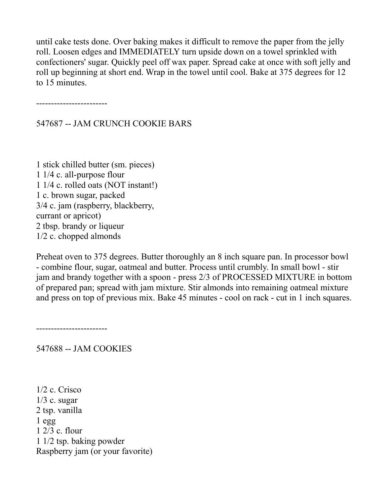until cake tests done. Over baking makes it difficult to remove the paper from the jelly roll. Loosen edges and IMMEDIATELY turn upside down on a towel sprinkled with confectioners' sugar. Quickly peel off wax paper. Spread cake at once with soft jelly and roll up beginning at short end. Wrap in the towel until cool. Bake at 375 degrees for 12 to 15 minutes.

------------------------

547687 -- JAM CRUNCH COOKIE BARS

1 stick chilled butter (sm. pieces) 1 1/4 c. all-purpose flour 1 1/4 c. rolled oats (NOT instant!) 1 c. brown sugar, packed 3/4 c. jam (raspberry, blackberry, currant or apricot) 2 tbsp. brandy or liqueur 1/2 c. chopped almonds

Preheat oven to 375 degrees. Butter thoroughly an 8 inch square pan. In processor bowl - combine flour, sugar, oatmeal and butter. Process until crumbly. In small bowl - stir jam and brandy together with a spoon - press 2/3 of PROCESSED MIXTURE in bottom of prepared pan; spread with jam mixture. Stir almonds into remaining oatmeal mixture and press on top of previous mix. Bake 45 minutes - cool on rack - cut in 1 inch squares.

------------------------

547688 -- JAM COOKIES

1/2 c. Crisco  $1/3$  c. sugar 2 tsp. vanilla  $1$  egg 1 2/3 c. flour 1 1/2 tsp. baking powder Raspberry jam (or your favorite)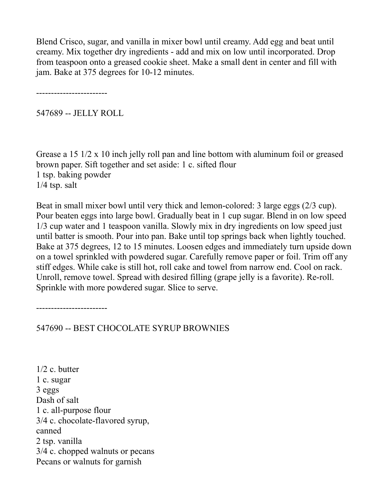Blend Crisco, sugar, and vanilla in mixer bowl until creamy. Add egg and beat until creamy. Mix together dry ingredients - add and mix on low until incorporated. Drop from teaspoon onto a greased cookie sheet. Make a small dent in center and fill with jam. Bake at 375 degrees for 10-12 minutes.

------------------------

547689 -- JELLY ROLL

Grease a 15 1/2 x 10 inch jelly roll pan and line bottom with aluminum foil or greased brown paper. Sift together and set aside: 1 c. sifted flour 1 tsp. baking powder 1/4 tsp. salt

Beat in small mixer bowl until very thick and lemon-colored: 3 large eggs (2/3 cup). Pour beaten eggs into large bowl. Gradually beat in 1 cup sugar. Blend in on low speed 1/3 cup water and 1 teaspoon vanilla. Slowly mix in dry ingredients on low speed just until batter is smooth. Pour into pan. Bake until top springs back when lightly touched. Bake at 375 degrees, 12 to 15 minutes. Loosen edges and immediately turn upside down on a towel sprinkled with powdered sugar. Carefully remove paper or foil. Trim off any stiff edges. While cake is still hot, roll cake and towel from narrow end. Cool on rack. Unroll, remove towel. Spread with desired filling (grape jelly is a favorite). Re-roll. Sprinkle with more powdered sugar. Slice to serve.

------------------------

547690 -- BEST CHOCOLATE SYRUP BROWNIES

1/2 c. butter 1 c. sugar 3 eggs Dash of salt 1 c. all-purpose flour 3/4 c. chocolate-flavored syrup, canned 2 tsp. vanilla 3/4 c. chopped walnuts or pecans Pecans or walnuts for garnish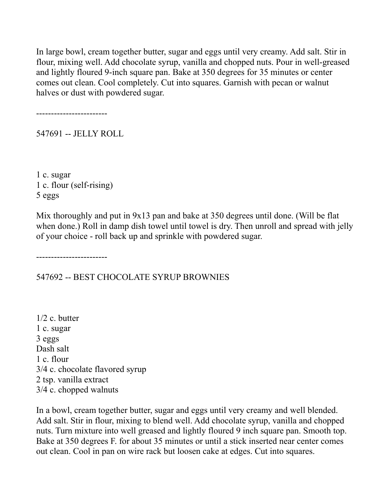In large bowl, cream together butter, sugar and eggs until very creamy. Add salt. Stir in flour, mixing well. Add chocolate syrup, vanilla and chopped nuts. Pour in well-greased and lightly floured 9-inch square pan. Bake at 350 degrees for 35 minutes or center comes out clean. Cool completely. Cut into squares. Garnish with pecan or walnut halves or dust with powdered sugar.

------------------------

547691 -- JELLY ROLL

1 c. sugar 1 c. flour (self-rising) 5 eggs

Mix thoroughly and put in 9x13 pan and bake at 350 degrees until done. (Will be flat when done.) Roll in damp dish towel until towel is dry. Then unroll and spread with jelly of your choice - roll back up and sprinkle with powdered sugar.

------------------------

547692 -- BEST CHOCOLATE SYRUP BROWNIES

1/2 c. butter 1 c. sugar 3 eggs Dash salt 1 c. flour 3/4 c. chocolate flavored syrup 2 tsp. vanilla extract 3/4 c. chopped walnuts

In a bowl, cream together butter, sugar and eggs until very creamy and well blended. Add salt. Stir in flour, mixing to blend well. Add chocolate syrup, vanilla and chopped nuts. Turn mixture into well greased and lightly floured 9 inch square pan. Smooth top. Bake at 350 degrees F. for about 35 minutes or until a stick inserted near center comes out clean. Cool in pan on wire rack but loosen cake at edges. Cut into squares.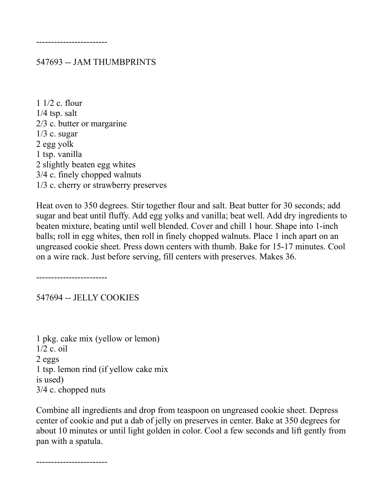------------------------

#### 547693 -- JAM THUMBPRINTS

1 1/2 c. flour  $1/4$  tsp. salt 2/3 c. butter or margarine  $1/3$  c. sugar 2 egg yolk 1 tsp. vanilla 2 slightly beaten egg whites 3/4 c. finely chopped walnuts 1/3 c. cherry or strawberry preserves

Heat oven to 350 degrees. Stir together flour and salt. Beat butter for 30 seconds; add sugar and beat until fluffy. Add egg yolks and vanilla; beat well. Add dry ingredients to beaten mixture, beating until well blended. Cover and chill 1 hour. Shape into 1-inch balls; roll in egg whites, then roll in finely chopped walnuts. Place 1 inch apart on an ungreased cookie sheet. Press down centers with thumb. Bake for 15-17 minutes. Cool on a wire rack. Just before serving, fill centers with preserves. Makes 36.

------------------------

547694 -- JELLY COOKIES

1 pkg. cake mix (yellow or lemon) 1/2 c. oil 2 eggs 1 tsp. lemon rind (if yellow cake mix is used) 3/4 c. chopped nuts

Combine all ingredients and drop from teaspoon on ungreased cookie sheet. Depress center of cookie and put a dab of jelly on preserves in center. Bake at 350 degrees for about 10 minutes or until light golden in color. Cool a few seconds and lift gently from pan with a spatula.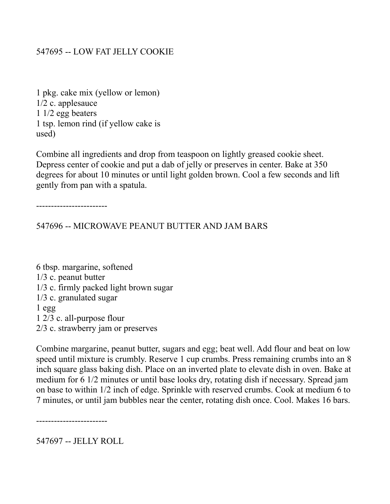### 547695 -- LOW FAT JELLY COOKIE

1 pkg. cake mix (yellow or lemon) 1/2 c. applesauce 1 1/2 egg beaters 1 tsp. lemon rind (if yellow cake is used)

Combine all ingredients and drop from teaspoon on lightly greased cookie sheet. Depress center of cookie and put a dab of jelly or preserves in center. Bake at 350 degrees for about 10 minutes or until light golden brown. Cool a few seconds and lift gently from pan with a spatula.

------------------------

547696 -- MICROWAVE PEANUT BUTTER AND JAM BARS

6 tbsp. margarine, softened 1/3 c. peanut butter 1/3 c. firmly packed light brown sugar 1/3 c. granulated sugar 1 egg 1 2/3 c. all-purpose flour 2/3 c. strawberry jam or preserves

Combine margarine, peanut butter, sugars and egg; beat well. Add flour and beat on low speed until mixture is crumbly. Reserve 1 cup crumbs. Press remaining crumbs into an 8 inch square glass baking dish. Place on an inverted plate to elevate dish in oven. Bake at medium for 6 1/2 minutes or until base looks dry, rotating dish if necessary. Spread jam on base to within 1/2 inch of edge. Sprinkle with reserved crumbs. Cook at medium 6 to 7 minutes, or until jam bubbles near the center, rotating dish once. Cool. Makes 16 bars.

------------------------

547697 -- JELLY ROLL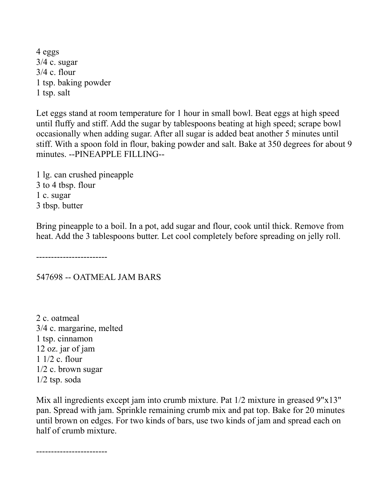4 eggs 3/4 c. sugar 3/4 c. flour 1 tsp. baking powder 1 tsp. salt

Let eggs stand at room temperature for 1 hour in small bowl. Beat eggs at high speed until fluffy and stiff. Add the sugar by tablespoons beating at high speed; scrape bowl occasionally when adding sugar. After all sugar is added beat another 5 minutes until stiff. With a spoon fold in flour, baking powder and salt. Bake at 350 degrees for about 9 minutes. --PINEAPPLE FILLING--

1 lg. can crushed pineapple 3 to 4 tbsp. flour 1 c. sugar 3 tbsp. butter

Bring pineapple to a boil. In a pot, add sugar and flour, cook until thick. Remove from heat. Add the 3 tablespoons butter. Let cool completely before spreading on jelly roll.

------------------------

547698 -- OATMEAL JAM BARS

2 c. oatmeal 3/4 c. margarine, melted 1 tsp. cinnamon 12 oz. jar of jam 1 1/2 c. flour 1/2 c. brown sugar 1/2 tsp. soda

Mix all ingredients except jam into crumb mixture. Pat  $1/2$  mixture in greased 9"x13" pan. Spread with jam. Sprinkle remaining crumb mix and pat top. Bake for 20 minutes until brown on edges. For two kinds of bars, use two kinds of jam and spread each on half of crumb mixture.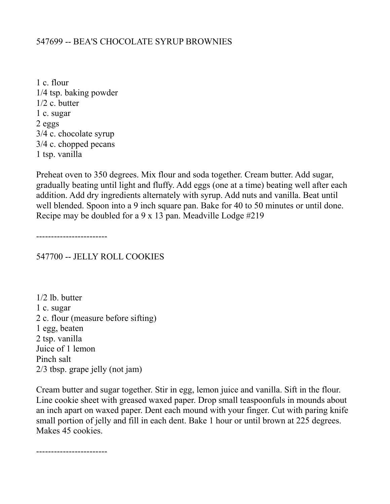#### 547699 -- BEA'S CHOCOLATE SYRUP BROWNIES

1 c. flour 1/4 tsp. baking powder 1/2 c. butter 1 c. sugar 2 eggs 3/4 c. chocolate syrup 3/4 c. chopped pecans 1 tsp. vanilla

Preheat oven to 350 degrees. Mix flour and soda together. Cream butter. Add sugar, gradually beating until light and fluffy. Add eggs (one at a time) beating well after each addition. Add dry ingredients alternately with syrup. Add nuts and vanilla. Beat until well blended. Spoon into a 9 inch square pan. Bake for 40 to 50 minutes or until done. Recipe may be doubled for a 9 x 13 pan. Meadville Lodge #219

------------------------

547700 -- JELLY ROLL COOKIES

1/2 lb. butter 1 c. sugar 2 c. flour (measure before sifting) 1 egg, beaten 2 tsp. vanilla Juice of 1 lemon Pinch salt 2/3 tbsp. grape jelly (not jam)

Cream butter and sugar together. Stir in egg, lemon juice and vanilla. Sift in the flour. Line cookie sheet with greased waxed paper. Drop small teaspoonfuls in mounds about an inch apart on waxed paper. Dent each mound with your finger. Cut with paring knife small portion of jelly and fill in each dent. Bake 1 hour or until brown at 225 degrees. Makes 45 cookies.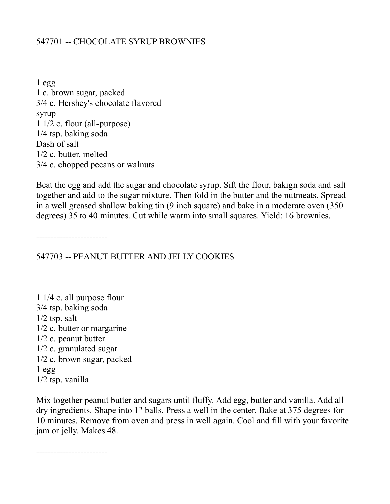## 547701 -- CHOCOLATE SYRUP BROWNIES

1 egg 1 c. brown sugar, packed 3/4 c. Hershey's chocolate flavored syrup 1 1/2 c. flour (all-purpose) 1/4 tsp. baking soda Dash of salt 1/2 c. butter, melted 3/4 c. chopped pecans or walnuts

Beat the egg and add the sugar and chocolate syrup. Sift the flour, bakign soda and salt together and add to the sugar mixture. Then fold in the butter and the nutmeats. Spread in a well greased shallow baking tin (9 inch square) and bake in a moderate oven (350 degrees) 35 to 40 minutes. Cut while warm into small squares. Yield: 16 brownies.

------------------------

547703 -- PEANUT BUTTER AND JELLY COOKIES

1 1/4 c. all purpose flour 3/4 tsp. baking soda  $1/2$  tsp. salt 1/2 c. butter or margarine 1/2 c. peanut butter 1/2 c. granulated sugar 1/2 c. brown sugar, packed 1 egg 1/2 tsp. vanilla

Mix together peanut butter and sugars until fluffy. Add egg, butter and vanilla. Add all dry ingredients. Shape into 1" balls. Press a well in the center. Bake at 375 degrees for 10 minutes. Remove from oven and press in well again. Cool and fill with your favorite jam or jelly. Makes 48.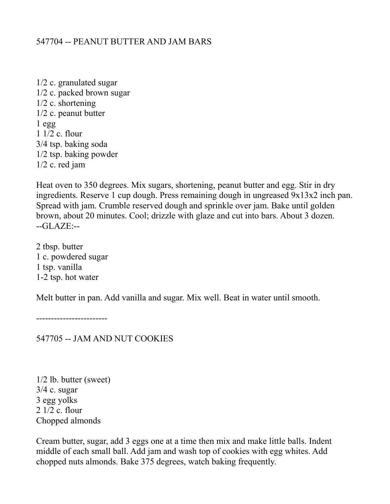### 547704 -- PEANUT BUTTER AND JAM BARS

1/2 c. granulated sugar 1/2 c. packed brown sugar 1/2 c. shortening 1/2 c. peanut butter 1 egg 1 1/2 c. flour 3/4 tsp. baking soda 1/2 tsp. baking powder 1/2 c. red jam

Heat oven to 350 degrees. Mix sugars, shortening, peanut butter and egg. Stir in dry ingredients. Reserve 1 cup dough. Press remaining dough in ungreased 9x13x2 inch pan. Spread with jam. Crumble reserved dough and sprinkle over jam. Bake until golden brown, about 20 minutes. Cool; drizzle with glaze and cut into bars. About 3 dozen. --GLAZE:--

2 tbsp. butter 1 c. powdered sugar 1 tsp. vanilla 1-2 tsp. hot water

Melt butter in pan. Add vanilla and sugar. Mix well. Beat in water until smooth.

------------------------

547705 -- JAM AND NUT COOKIES

1/2 lb. butter (sweet) 3/4 c. sugar 3 egg yolks 2 1/2 c. flour Chopped almonds

Cream butter, sugar, add 3 eggs one at a time then mix and make little balls. Indent middle of each small ball. Add jam and wash top of cookies with egg whites. Add chopped nuts almonds. Bake 375 degrees, watch baking frequently.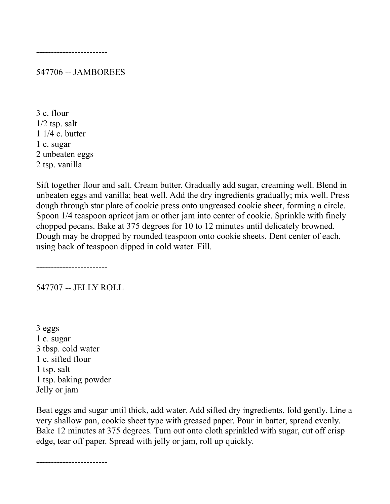547706 -- JAMBOREES

3 c. flour  $1/2$  tsp. salt 1 1/4 c. butter 1 c. sugar 2 unbeaten eggs 2 tsp. vanilla

Sift together flour and salt. Cream butter. Gradually add sugar, creaming well. Blend in unbeaten eggs and vanilla; beat well. Add the dry ingredients gradually; mix well. Press dough through star plate of cookie press onto ungreased cookie sheet, forming a circle. Spoon 1/4 teaspoon apricot jam or other jam into center of cookie. Sprinkle with finely chopped pecans. Bake at 375 degrees for 10 to 12 minutes until delicately browned. Dough may be dropped by rounded teaspoon onto cookie sheets. Dent center of each, using back of teaspoon dipped in cold water. Fill.

------------------------

547707 -- JELLY ROLL

3 eggs 1 c. sugar 3 tbsp. cold water 1 c. sifted flour 1 tsp. salt 1 tsp. baking powder Jelly or jam

Beat eggs and sugar until thick, add water. Add sifted dry ingredients, fold gently. Line a very shallow pan, cookie sheet type with greased paper. Pour in batter, spread evenly. Bake 12 minutes at 375 degrees. Turn out onto cloth sprinkled with sugar, cut off crisp edge, tear off paper. Spread with jelly or jam, roll up quickly.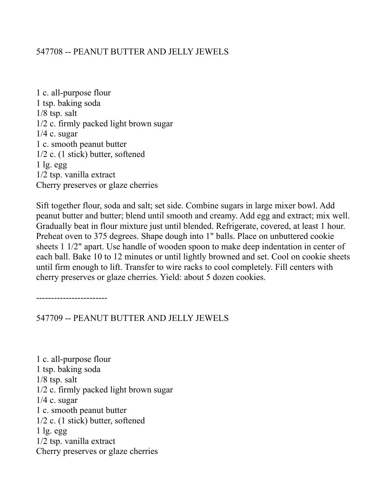#### 547708 -- PEANUT BUTTER AND JELLY JEWELS

1 c. all-purpose flour 1 tsp. baking soda 1/8 tsp. salt 1/2 c. firmly packed light brown sugar  $1/4$  c. sugar 1 c. smooth peanut butter 1/2 c. (1 stick) butter, softened  $1$  lg. egg 1/2 tsp. vanilla extract Cherry preserves or glaze cherries

Sift together flour, soda and salt; set side. Combine sugars in large mixer bowl. Add peanut butter and butter; blend until smooth and creamy. Add egg and extract; mix well. Gradually beat in flour mixture just until blended. Refrigerate, covered, at least 1 hour. Preheat oven to 375 degrees. Shape dough into 1" balls. Place on unbuttered cookie sheets 1 1/2" apart. Use handle of wooden spoon to make deep indentation in center of each ball. Bake 10 to 12 minutes or until lightly browned and set. Cool on cookie sheets until firm enough to lift. Transfer to wire racks to cool completely. Fill centers with cherry preserves or glaze cherries. Yield: about 5 dozen cookies.

------------------------

547709 -- PEANUT BUTTER AND JELLY JEWELS

1 c. all-purpose flour 1 tsp. baking soda 1/8 tsp. salt 1/2 c. firmly packed light brown sugar  $1/4$  c. sugar 1 c. smooth peanut butter 1/2 c. (1 stick) butter, softened  $1 \lg$ . egg 1/2 tsp. vanilla extract Cherry preserves or glaze cherries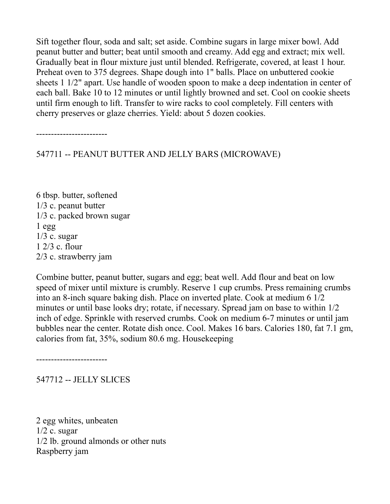Sift together flour, soda and salt; set aside. Combine sugars in large mixer bowl. Add peanut butter and butter; beat until smooth and creamy. Add egg and extract; mix well. Gradually beat in flour mixture just until blended. Refrigerate, covered, at least 1 hour. Preheat oven to 375 degrees. Shape dough into 1" balls. Place on unbuttered cookie sheets 1 1/2" apart. Use handle of wooden spoon to make a deep indentation in center of each ball. Bake 10 to 12 minutes or until lightly browned and set. Cool on cookie sheets until firm enough to lift. Transfer to wire racks to cool completely. Fill centers with cherry preserves or glaze cherries. Yield: about 5 dozen cookies.

------------------------

547711 -- PEANUT BUTTER AND JELLY BARS (MICROWAVE)

6 tbsp. butter, softened 1/3 c. peanut butter 1/3 c. packed brown sugar  $1$  egg  $1/3$  c. sugar 1 2/3 c. flour 2/3 c. strawberry jam

Combine butter, peanut butter, sugars and egg; beat well. Add flour and beat on low speed of mixer until mixture is crumbly. Reserve 1 cup crumbs. Press remaining crumbs into an 8-inch square baking dish. Place on inverted plate. Cook at medium 6 1/2 minutes or until base looks dry; rotate, if necessary. Spread jam on base to within 1/2 inch of edge. Sprinkle with reserved crumbs. Cook on medium 6-7 minutes or until jam bubbles near the center. Rotate dish once. Cool. Makes 16 bars. Calories 180, fat 7.1 gm, calories from fat, 35%, sodium 80.6 mg. Housekeeping

------------------------

547712 -- JELLY SLICES

2 egg whites, unbeaten  $1/2$  c. sugar 1/2 lb. ground almonds or other nuts Raspberry jam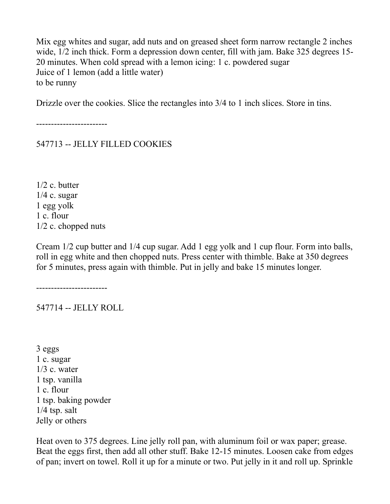Mix egg whites and sugar, add nuts and on greased sheet form narrow rectangle 2 inches wide, 1/2 inch thick. Form a depression down center, fill with jam. Bake 325 degrees 15- 20 minutes. When cold spread with a lemon icing: 1 c. powdered sugar Juice of 1 lemon (add a little water) to be runny

Drizzle over the cookies. Slice the rectangles into 3/4 to 1 inch slices. Store in tins.

------------------------

547713 -- JELLY FILLED COOKIES

1/2 c. butter  $1/4$  c. sugar 1 egg yolk 1 c. flour 1/2 c. chopped nuts

Cream 1/2 cup butter and 1/4 cup sugar. Add 1 egg yolk and 1 cup flour. Form into balls, roll in egg white and then chopped nuts. Press center with thimble. Bake at 350 degrees for 5 minutes, press again with thimble. Put in jelly and bake 15 minutes longer.

------------------------

547714 -- JELLY ROLL

3 eggs 1 c. sugar  $1/3$  c. water 1 tsp. vanilla 1 c. flour 1 tsp. baking powder 1/4 tsp. salt Jelly or others

Heat oven to 375 degrees. Line jelly roll pan, with aluminum foil or wax paper; grease. Beat the eggs first, then add all other stuff. Bake 12-15 minutes. Loosen cake from edges of pan; invert on towel. Roll it up for a minute or two. Put jelly in it and roll up. Sprinkle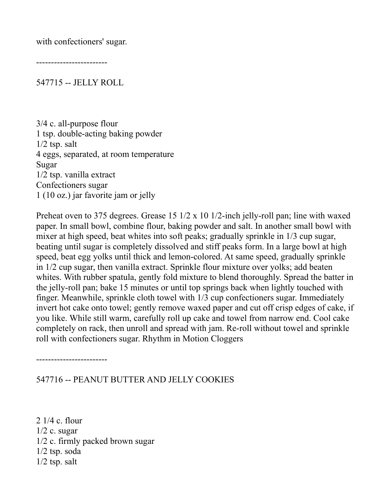with confectioners' sugar.

------------------------

547715 -- JELLY ROLL

3/4 c. all-purpose flour 1 tsp. double-acting baking powder  $1/2$  tsp. salt 4 eggs, separated, at room temperature Sugar 1/2 tsp. vanilla extract Confectioners sugar 1 (10 oz.) jar favorite jam or jelly

Preheat oven to 375 degrees. Grease 15 1/2 x 10 1/2-inch jelly-roll pan; line with waxed paper. In small bowl, combine flour, baking powder and salt. In another small bowl with mixer at high speed, beat whites into soft peaks; gradually sprinkle in 1/3 cup sugar, beating until sugar is completely dissolved and stiff peaks form. In a large bowl at high speed, beat egg yolks until thick and lemon-colored. At same speed, gradually sprinkle in 1/2 cup sugar, then vanilla extract. Sprinkle flour mixture over yolks; add beaten whites. With rubber spatula, gently fold mixture to blend thoroughly. Spread the batter in the jelly-roll pan; bake 15 minutes or until top springs back when lightly touched with finger. Meanwhile, sprinkle cloth towel with 1/3 cup confectioners sugar. Immediately invert hot cake onto towel; gently remove waxed paper and cut off crisp edges of cake, if you like. While still warm, carefully roll up cake and towel from narrow end. Cool cake completely on rack, then unroll and spread with jam. Re-roll without towel and sprinkle roll with confectioners sugar. Rhythm in Motion Cloggers

------------------------

547716 -- PEANUT BUTTER AND JELLY COOKIES

2 1/4 c. flour  $1/2$  c. sugar 1/2 c. firmly packed brown sugar 1/2 tsp. soda  $1/2$  tsp. salt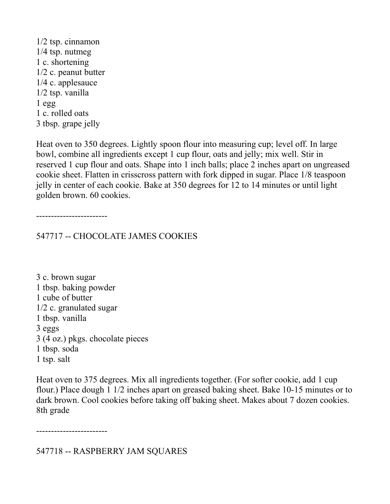1/2 tsp. cinnamon 1/4 tsp. nutmeg 1 c. shortening 1/2 c. peanut butter 1/4 c. applesauce 1/2 tsp. vanilla  $1$  egg 1 c. rolled oats 3 tbsp. grape jelly

Heat oven to 350 degrees. Lightly spoon flour into measuring cup; level off. In large bowl, combine all ingredients except 1 cup flour, oats and jelly; mix well. Stir in reserved 1 cup flour and oats. Shape into 1 inch balls; place 2 inches apart on ungreased cookie sheet. Flatten in crisscross pattern with fork dipped in sugar. Place 1/8 teaspoon jelly in center of each cookie. Bake at 350 degrees for 12 to 14 minutes or until light golden brown. 60 cookies.

------------------------

547717 -- CHOCOLATE JAMES COOKIES

3 c. brown sugar 1 tbsp. baking powder 1 cube of butter 1/2 c. granulated sugar 1 tbsp. vanilla 3 eggs 3 (4 oz.) pkgs. chocolate pieces 1 tbsp. soda 1 tsp. salt

Heat oven to 375 degrees. Mix all ingredients together. (For softer cookie, add 1 cup flour.) Place dough 1 1/2 inches apart on greased baking sheet. Bake 10-15 minutes or to dark brown. Cool cookies before taking off baking sheet. Makes about 7 dozen cookies. 8th grade

------------------------

547718 -- RASPBERRY JAM SQUARES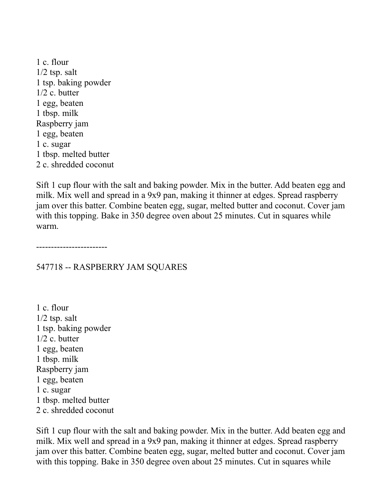1 c. flour  $1/2$  tsp. salt 1 tsp. baking powder 1/2 c. butter 1 egg, beaten 1 tbsp. milk Raspberry jam 1 egg, beaten 1 c. sugar 1 tbsp. melted butter 2 c. shredded coconut

Sift 1 cup flour with the salt and baking powder. Mix in the butter. Add beaten egg and milk. Mix well and spread in a 9x9 pan, making it thinner at edges. Spread raspberry jam over this batter. Combine beaten egg, sugar, melted butter and coconut. Cover jam with this topping. Bake in 350 degree oven about 25 minutes. Cut in squares while warm.

------------------------

#### 547718 -- RASPBERRY JAM SQUARES

1 c. flour  $1/2$  tsp. salt 1 tsp. baking powder 1/2 c. butter 1 egg, beaten 1 tbsp. milk Raspberry jam 1 egg, beaten 1 c. sugar 1 tbsp. melted butter 2 c. shredded coconut

Sift 1 cup flour with the salt and baking powder. Mix in the butter. Add beaten egg and milk. Mix well and spread in a 9x9 pan, making it thinner at edges. Spread raspberry jam over this batter. Combine beaten egg, sugar, melted butter and coconut. Cover jam with this topping. Bake in 350 degree oven about 25 minutes. Cut in squares while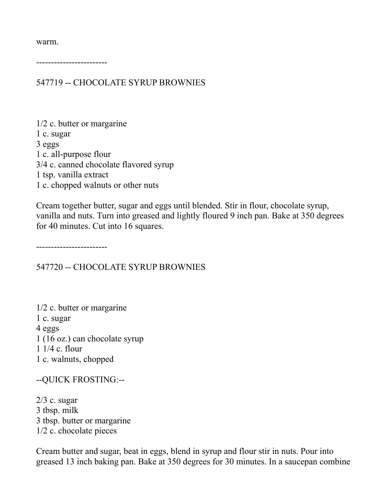warm.

------------------------

547719 -- CHOCOLATE SYRUP BROWNIES

1/2 c. butter or margarine 1 c. sugar 3 eggs 1 c. all-purpose flour 3/4 c. canned chocolate flavored syrup 1 tsp. vanilla extract 1 c. chopped walnuts or other nuts

Cream together butter, sugar and eggs until blended. Stir in flour, chocolate syrup, vanilla and nuts. Turn into greased and lightly floured 9 inch pan. Bake at 350 degrees for 40 minutes. Cut into 16 squares.

------------------------

547720 -- CHOCOLATE SYRUP BROWNIES

1/2 c. butter or margarine 1 c. sugar 4 eggs 1 (16 oz.) can chocolate syrup 1 1/4 c. flour 1 c. walnuts, chopped

--QUICK FROSTING:--

 $2/3$  c. sugar 3 tbsp. milk 3 tbsp. butter or margarine 1/2 c. chocolate pieces

Cream butter and sugar, beat in eggs, blend in syrup and flour stir in nuts. Pour into greased 13 inch baking pan. Bake at 350 degrees for 30 minutes. In a saucepan combine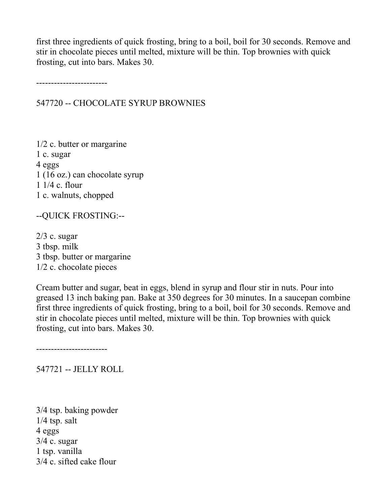first three ingredients of quick frosting, bring to a boil, boil for 30 seconds. Remove and stir in chocolate pieces until melted, mixture will be thin. Top brownies with quick frosting, cut into bars. Makes 30.

------------------------

547720 -- CHOCOLATE SYRUP BROWNIES

1/2 c. butter or margarine 1 c. sugar 4 eggs 1 (16 oz.) can chocolate syrup 1 1/4 c. flour 1 c. walnuts, chopped

--QUICK FROSTING:--

 $2/3$  c. sugar 3 tbsp. milk 3 tbsp. butter or margarine 1/2 c. chocolate pieces

Cream butter and sugar, beat in eggs, blend in syrup and flour stir in nuts. Pour into greased 13 inch baking pan. Bake at 350 degrees for 30 minutes. In a saucepan combine first three ingredients of quick frosting, bring to a boil, boil for 30 seconds. Remove and stir in chocolate pieces until melted, mixture will be thin. Top brownies with quick frosting, cut into bars. Makes 30.

------------------------

547721 -- JELLY ROLL

3/4 tsp. baking powder 1/4 tsp. salt 4 eggs  $3/4$  c. sugar 1 tsp. vanilla 3/4 c. sifted cake flour